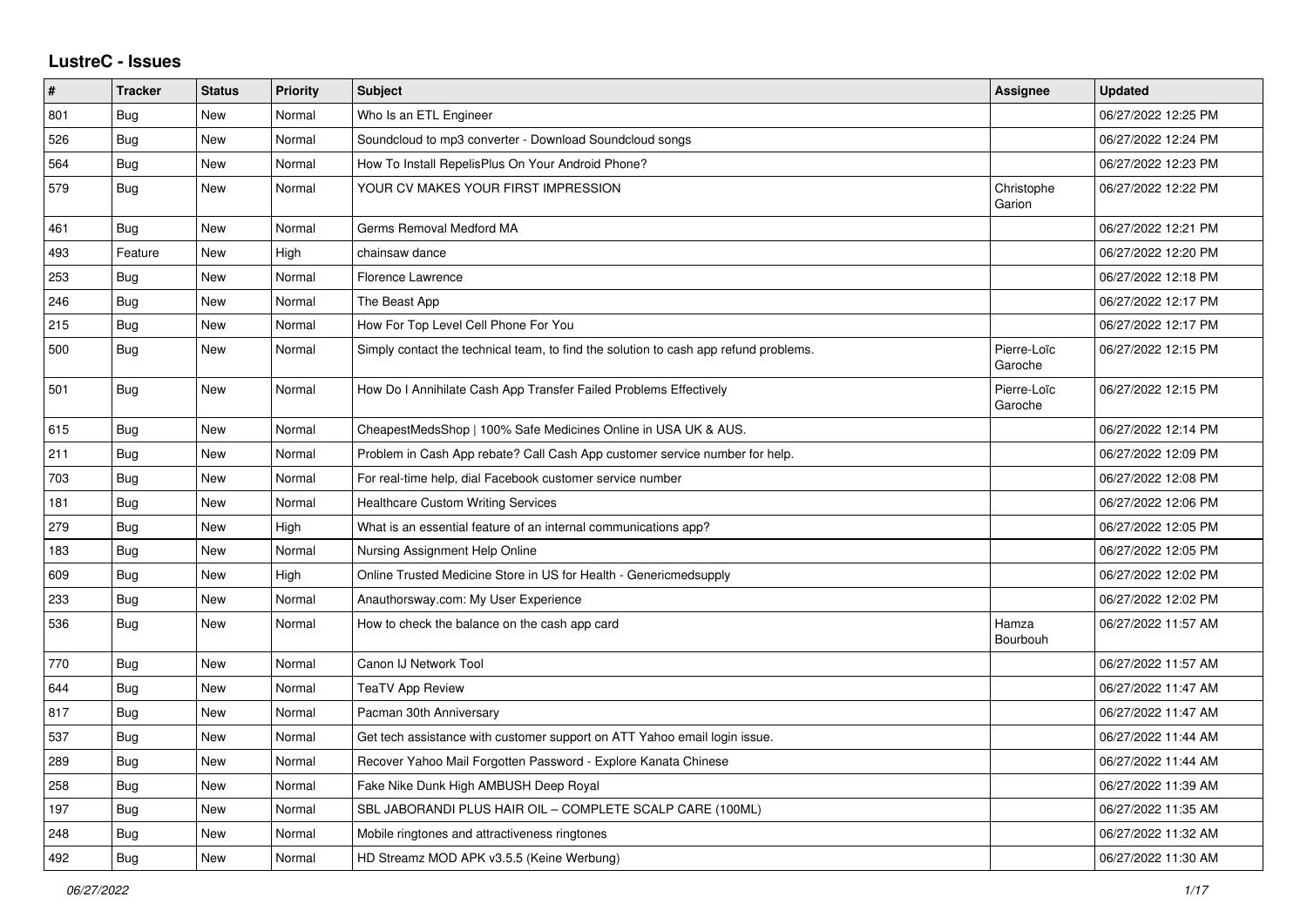## **LustreC - Issues**

| #   | <b>Tracker</b> | <b>Status</b> | Priority | <b>Subject</b>                                                                       | Assignee               | <b>Updated</b>      |
|-----|----------------|---------------|----------|--------------------------------------------------------------------------------------|------------------------|---------------------|
| 801 | Bug            | New           | Normal   | Who Is an ETL Engineer                                                               |                        | 06/27/2022 12:25 PM |
| 526 | Bug            | New           | Normal   | Soundcloud to mp3 converter - Download Soundcloud songs                              |                        | 06/27/2022 12:24 PM |
| 564 | <b>Bug</b>     | New           | Normal   | How To Install RepelisPlus On Your Android Phone?                                    |                        | 06/27/2022 12:23 PM |
| 579 | <b>Bug</b>     | New           | Normal   | YOUR CV MAKES YOUR FIRST IMPRESSION                                                  | Christophe<br>Garion   | 06/27/2022 12:22 PM |
| 461 | <b>Bug</b>     | <b>New</b>    | Normal   | Germs Removal Medford MA                                                             |                        | 06/27/2022 12:21 PM |
| 493 | Feature        | New           | High     | chainsaw dance                                                                       |                        | 06/27/2022 12:20 PM |
| 253 | Bug            | New           | Normal   | Florence Lawrence                                                                    |                        | 06/27/2022 12:18 PM |
| 246 | Bug            | <b>New</b>    | Normal   | The Beast App                                                                        |                        | 06/27/2022 12:17 PM |
| 215 | Bug            | New           | Normal   | How For Top Level Cell Phone For You                                                 |                        | 06/27/2022 12:17 PM |
| 500 | Bug            | New           | Normal   | Simply contact the technical team, to find the solution to cash app refund problems. | Pierre-Loïc<br>Garoche | 06/27/2022 12:15 PM |
| 501 | Bug            | New           | Normal   | How Do I Annihilate Cash App Transfer Failed Problems Effectively                    | Pierre-Loïc<br>Garoche | 06/27/2022 12:15 PM |
| 615 | <b>Bug</b>     | New           | Normal   | CheapestMedsShop   100% Safe Medicines Online in USA UK & AUS.                       |                        | 06/27/2022 12:14 PM |
| 211 | <b>Bug</b>     | New           | Normal   | Problem in Cash App rebate? Call Cash App customer service number for help.          |                        | 06/27/2022 12:09 PM |
| 703 | Bug            | <b>New</b>    | Normal   | For real-time help, dial Facebook customer service number                            |                        | 06/27/2022 12:08 PM |
| 181 | <b>Bug</b>     | New           | Normal   | <b>Healthcare Custom Writing Services</b>                                            |                        | 06/27/2022 12:06 PM |
| 279 | Bug            | New           | High     | What is an essential feature of an internal communications app?                      |                        | 06/27/2022 12:05 PM |
| 183 | <b>Bug</b>     | New           | Normal   | Nursing Assignment Help Online                                                       |                        | 06/27/2022 12:05 PM |
| 609 | <b>Bug</b>     | New           | High     | Online Trusted Medicine Store in US for Health - Genericmedsupply                    |                        | 06/27/2022 12:02 PM |
| 233 | Bug            | New           | Normal   | Anauthorsway.com: My User Experience                                                 |                        | 06/27/2022 12:02 PM |
| 536 | <b>Bug</b>     | New           | Normal   | How to check the balance on the cash app card                                        | Hamza<br>Bourbouh      | 06/27/2022 11:57 AM |
| 770 | Bug            | New           | Normal   | Canon IJ Network Tool                                                                |                        | 06/27/2022 11:57 AM |
| 644 | <b>Bug</b>     | <b>New</b>    | Normal   | <b>TeaTV App Review</b>                                                              |                        | 06/27/2022 11:47 AM |
| 817 | Bug            | <b>New</b>    | Normal   | Pacman 30th Anniversary                                                              |                        | 06/27/2022 11:47 AM |
| 537 | Bug            | New           | Normal   | Get tech assistance with customer support on ATT Yahoo email login issue.            |                        | 06/27/2022 11:44 AM |
| 289 | Bug            | New           | Normal   | Recover Yahoo Mail Forgotten Password - Explore Kanata Chinese                       |                        | 06/27/2022 11:44 AM |
| 258 | <b>Bug</b>     | New           | Normal   | Fake Nike Dunk High AMBUSH Deep Royal                                                |                        | 06/27/2022 11:39 AM |
| 197 | Bug            | New           | Normal   | SBL JABORANDI PLUS HAIR OIL - COMPLETE SCALP CARE (100ML)                            |                        | 06/27/2022 11:35 AM |
| 248 | Bug            | New           | Normal   | Mobile ringtones and attractiveness ringtones                                        |                        | 06/27/2022 11:32 AM |
| 492 | <b>Bug</b>     | New           | Normal   | HD Streamz MOD APK v3.5.5 (Keine Werbung)                                            |                        | 06/27/2022 11:30 AM |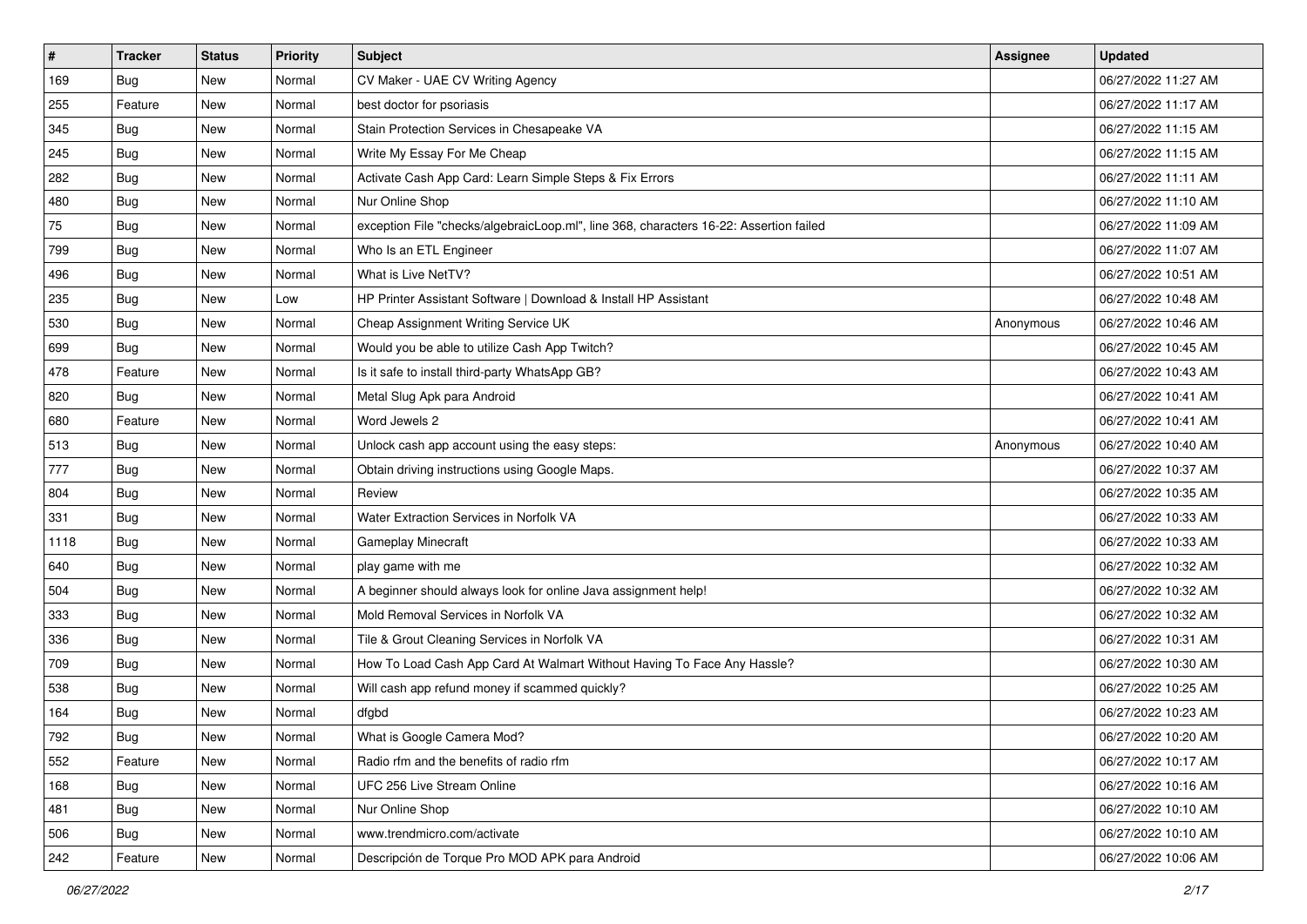| $\sharp$ | <b>Tracker</b> | <b>Status</b> | <b>Priority</b> | Subject                                                                                | <b>Assignee</b> | <b>Updated</b>      |
|----------|----------------|---------------|-----------------|----------------------------------------------------------------------------------------|-----------------|---------------------|
| 169      | <b>Bug</b>     | New           | Normal          | CV Maker - UAE CV Writing Agency                                                       |                 | 06/27/2022 11:27 AM |
| 255      | Feature        | New           | Normal          | best doctor for psoriasis                                                              |                 | 06/27/2022 11:17 AM |
| 345      | Bug            | New           | Normal          | Stain Protection Services in Chesapeake VA                                             |                 | 06/27/2022 11:15 AM |
| 245      | Bug            | New           | Normal          | Write My Essay For Me Cheap                                                            |                 | 06/27/2022 11:15 AM |
| 282      | Bug            | New           | Normal          | Activate Cash App Card: Learn Simple Steps & Fix Errors                                |                 | 06/27/2022 11:11 AM |
| 480      | <b>Bug</b>     | New           | Normal          | Nur Online Shop                                                                        |                 | 06/27/2022 11:10 AM |
| 75       | Bug            | New           | Normal          | exception File "checks/algebraicLoop.ml", line 368, characters 16-22: Assertion failed |                 | 06/27/2022 11:09 AM |
| 799      | <b>Bug</b>     | New           | Normal          | Who Is an ETL Engineer                                                                 |                 | 06/27/2022 11:07 AM |
| 496      | Bug            | New           | Normal          | What is Live NetTV?                                                                    |                 | 06/27/2022 10:51 AM |
| 235      | Bug            | New           | Low             | HP Printer Assistant Software   Download & Install HP Assistant                        |                 | 06/27/2022 10:48 AM |
| 530      | <b>Bug</b>     | New           | Normal          | Cheap Assignment Writing Service UK                                                    | Anonymous       | 06/27/2022 10:46 AM |
| 699      | <b>Bug</b>     | New           | Normal          | Would you be able to utilize Cash App Twitch?                                          |                 | 06/27/2022 10:45 AM |
| 478      | Feature        | New           | Normal          | Is it safe to install third-party WhatsApp GB?                                         |                 | 06/27/2022 10:43 AM |
| 820      | Bug            | New           | Normal          | Metal Slug Apk para Android                                                            |                 | 06/27/2022 10:41 AM |
| 680      | Feature        | New           | Normal          | Word Jewels 2                                                                          |                 | 06/27/2022 10:41 AM |
| 513      | Bug            | New           | Normal          | Unlock cash app account using the easy steps:                                          | Anonymous       | 06/27/2022 10:40 AM |
| 777      | Bug            | New           | Normal          | Obtain driving instructions using Google Maps.                                         |                 | 06/27/2022 10:37 AM |
| 804      | Bug            | New           | Normal          | Review                                                                                 |                 | 06/27/2022 10:35 AM |
| 331      | Bug            | New           | Normal          | <b>Water Extraction Services in Norfolk VA</b>                                         |                 | 06/27/2022 10:33 AM |
| 1118     | Bug            | New           | Normal          | Gameplay Minecraft                                                                     |                 | 06/27/2022 10:33 AM |
| 640      | <b>Bug</b>     | New           | Normal          | play game with me                                                                      |                 | 06/27/2022 10:32 AM |
| 504      | Bug            | New           | Normal          | A beginner should always look for online Java assignment help!                         |                 | 06/27/2022 10:32 AM |
| 333      | Bug            | New           | Normal          | Mold Removal Services in Norfolk VA                                                    |                 | 06/27/2022 10:32 AM |
| 336      | <b>Bug</b>     | New           | Normal          | Tile & Grout Cleaning Services in Norfolk VA                                           |                 | 06/27/2022 10:31 AM |
| 709      | Bug            | New           | Normal          | How To Load Cash App Card At Walmart Without Having To Face Any Hassle?                |                 | 06/27/2022 10:30 AM |
| 538      | Bug            | New           | Normal          | Will cash app refund money if scammed quickly?                                         |                 | 06/27/2022 10:25 AM |
| 164      | <b>Bug</b>     | New           | Normal          | dfgbd                                                                                  |                 | 06/27/2022 10:23 AM |
| 792      | <b>Bug</b>     | New           | Normal          | What is Google Camera Mod?                                                             |                 | 06/27/2022 10:20 AM |
| 552      | Feature        | New           | Normal          | Radio rfm and the benefits of radio rfm                                                |                 | 06/27/2022 10:17 AM |
| 168      | <b>Bug</b>     | New           | Normal          | UFC 256 Live Stream Online                                                             |                 | 06/27/2022 10:16 AM |
| 481      | Bug            | New           | Normal          | Nur Online Shop                                                                        |                 | 06/27/2022 10:10 AM |
| 506      | <b>Bug</b>     | New           | Normal          | www.trendmicro.com/activate                                                            |                 | 06/27/2022 10:10 AM |
| 242      | Feature        | New           | Normal          | Descripción de Torque Pro MOD APK para Android                                         |                 | 06/27/2022 10:06 AM |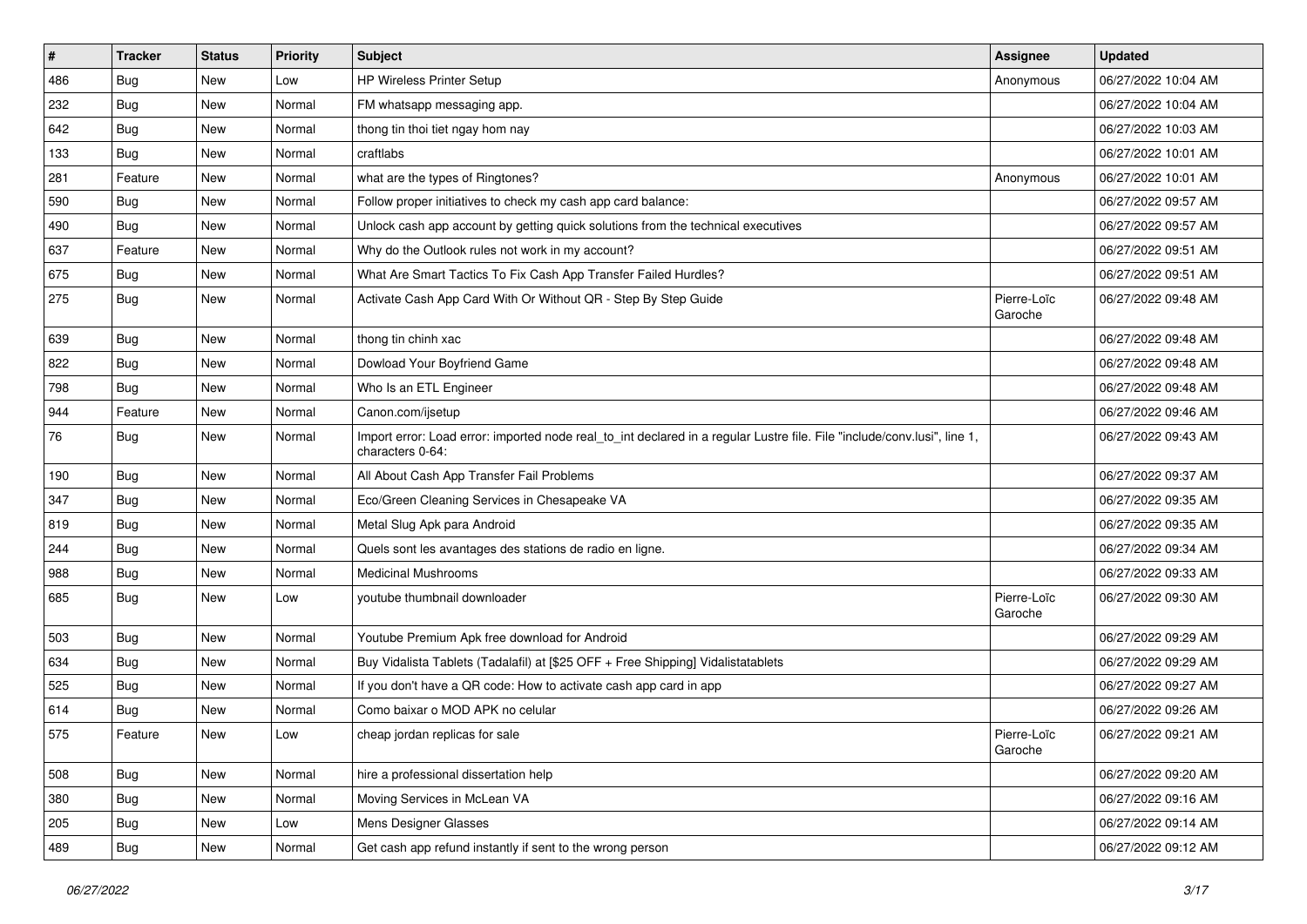| $\vert$ # | <b>Tracker</b> | <b>Status</b> | <b>Priority</b> | <b>Subject</b>                                                                                                                               | Assignee               | <b>Updated</b>      |
|-----------|----------------|---------------|-----------------|----------------------------------------------------------------------------------------------------------------------------------------------|------------------------|---------------------|
| 486       | Bug            | New           | Low             | <b>HP Wireless Printer Setup</b>                                                                                                             | Anonymous              | 06/27/2022 10:04 AM |
| 232       | <b>Bug</b>     | New           | Normal          | FM whatsapp messaging app.                                                                                                                   |                        | 06/27/2022 10:04 AM |
| 642       | <b>Bug</b>     | New           | Normal          | thong tin thoi tiet ngay hom nay                                                                                                             |                        | 06/27/2022 10:03 AM |
| 133       | Bug            | New           | Normal          | craftlabs                                                                                                                                    |                        | 06/27/2022 10:01 AM |
| 281       | Feature        | New           | Normal          | what are the types of Ringtones?                                                                                                             | Anonymous              | 06/27/2022 10:01 AM |
| 590       | Bug            | New           | Normal          | Follow proper initiatives to check my cash app card balance:                                                                                 |                        | 06/27/2022 09:57 AM |
| 490       | <b>Bug</b>     | New           | Normal          | Unlock cash app account by getting quick solutions from the technical executives                                                             |                        | 06/27/2022 09:57 AM |
| 637       | Feature        | New           | Normal          | Why do the Outlook rules not work in my account?                                                                                             |                        | 06/27/2022 09:51 AM |
| 675       | <b>Bug</b>     | New           | Normal          | What Are Smart Tactics To Fix Cash App Transfer Failed Hurdles?                                                                              |                        | 06/27/2022 09:51 AM |
| 275       | Bug            | New           | Normal          | Activate Cash App Card With Or Without QR - Step By Step Guide                                                                               | Pierre-Loïc<br>Garoche | 06/27/2022 09:48 AM |
| 639       | <b>Bug</b>     | New           | Normal          | thong tin chinh xac                                                                                                                          |                        | 06/27/2022 09:48 AM |
| 822       | Bug            | New           | Normal          | Dowload Your Boyfriend Game                                                                                                                  |                        | 06/27/2022 09:48 AM |
| 798       | Bug            | New           | Normal          | Who Is an ETL Engineer                                                                                                                       |                        | 06/27/2022 09:48 AM |
| 944       | Feature        | New           | Normal          | Canon.com/ijsetup                                                                                                                            |                        | 06/27/2022 09:46 AM |
| 76        | <b>Bug</b>     | New           | Normal          | Import error: Load error: imported node real_to_int declared in a regular Lustre file. File "include/conv.lusi", line 1,<br>characters 0-64: |                        | 06/27/2022 09:43 AM |
| 190       | Bug            | New           | Normal          | All About Cash App Transfer Fail Problems                                                                                                    |                        | 06/27/2022 09:37 AM |
| 347       | <b>Bug</b>     | New           | Normal          | Eco/Green Cleaning Services in Chesapeake VA                                                                                                 |                        | 06/27/2022 09:35 AM |
| 819       | <b>Bug</b>     | New           | Normal          | Metal Slug Apk para Android                                                                                                                  |                        | 06/27/2022 09:35 AM |
| 244       | Bug            | New           | Normal          | Quels sont les avantages des stations de radio en ligne.                                                                                     |                        | 06/27/2022 09:34 AM |
| 988       | <b>Bug</b>     | New           | Normal          | <b>Medicinal Mushrooms</b>                                                                                                                   |                        | 06/27/2022 09:33 AM |
| 685       | Bug            | New           | Low             | youtube thumbnail downloader                                                                                                                 | Pierre-Loïc<br>Garoche | 06/27/2022 09:30 AM |
| 503       | <b>Bug</b>     | New           | Normal          | Youtube Premium Apk free download for Android                                                                                                |                        | 06/27/2022 09:29 AM |
| 634       | Bug            | New           | Normal          | Buy Vidalista Tablets (Tadalafil) at [\$25 OFF + Free Shipping] Vidalistatablets                                                             |                        | 06/27/2022 09:29 AM |
| 525       | Bug            | New           | Normal          | If you don't have a QR code: How to activate cash app card in app                                                                            |                        | 06/27/2022 09:27 AM |
| 614       | <b>Bug</b>     | New           | Normal          | Como baixar o MOD APK no celular                                                                                                             |                        | 06/27/2022 09:26 AM |
| 575       | Feature        | New           | Low             | cheap jordan replicas for sale                                                                                                               | Pierre-Loïc<br>Garoche | 06/27/2022 09:21 AM |
| 508       | Bug            | New           | Normal          | hire a professional dissertation help                                                                                                        |                        | 06/27/2022 09:20 AM |
| 380       | <b>Bug</b>     | New           | Normal          | Moving Services in McLean VA                                                                                                                 |                        | 06/27/2022 09:16 AM |
| 205       | <b>Bug</b>     | New           | Low             | Mens Designer Glasses                                                                                                                        |                        | 06/27/2022 09:14 AM |
| 489       | <b>Bug</b>     | New           | Normal          | Get cash app refund instantly if sent to the wrong person                                                                                    |                        | 06/27/2022 09:12 AM |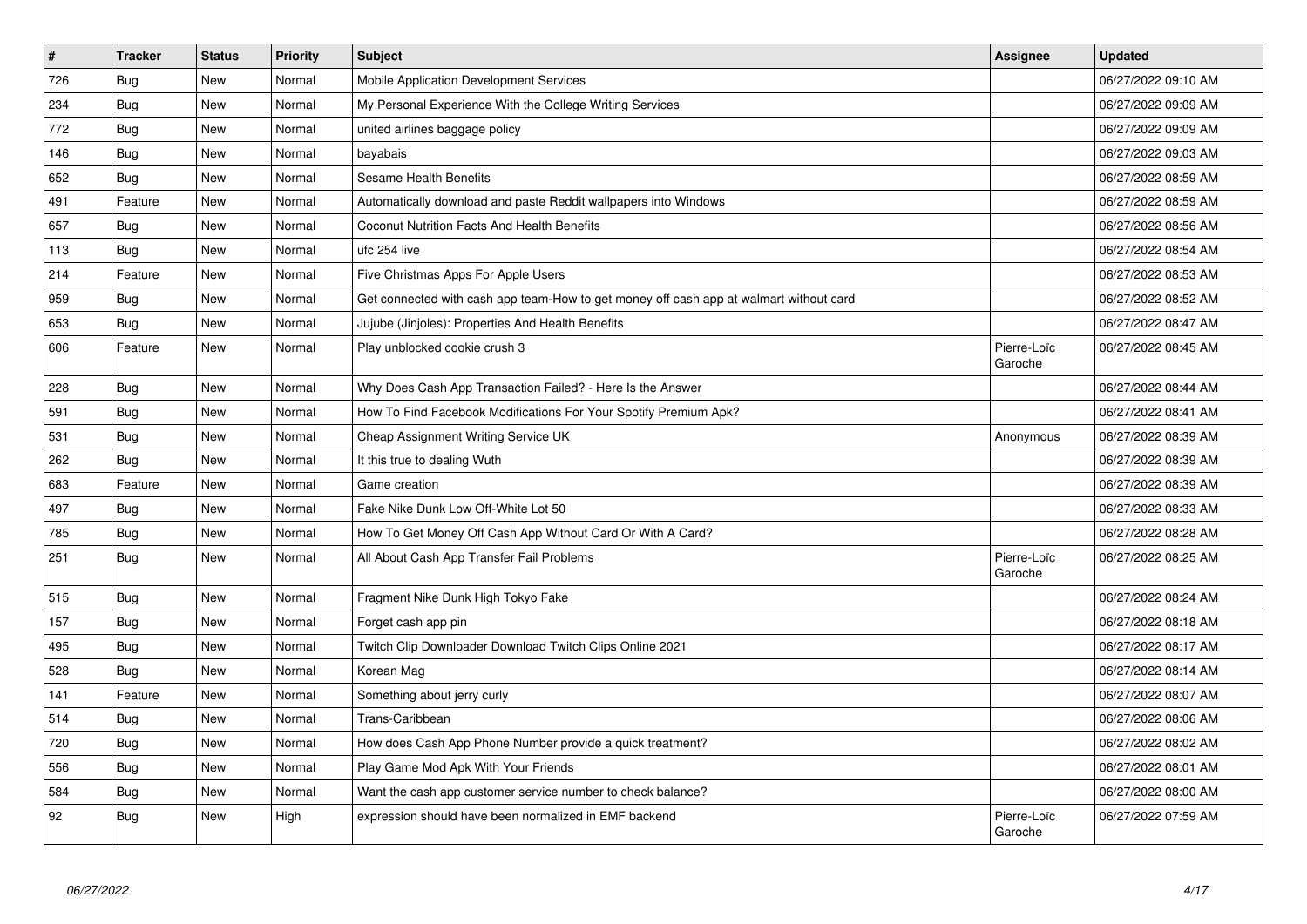| $\vert$ # | <b>Tracker</b> | <b>Status</b> | <b>Priority</b> | <b>Subject</b>                                                                         | Assignee               | <b>Updated</b>      |
|-----------|----------------|---------------|-----------------|----------------------------------------------------------------------------------------|------------------------|---------------------|
| 726       | Bug            | New           | Normal          | Mobile Application Development Services                                                |                        | 06/27/2022 09:10 AM |
| 234       | Bug            | New           | Normal          | My Personal Experience With the College Writing Services                               |                        | 06/27/2022 09:09 AM |
| 772       | <b>Bug</b>     | New           | Normal          | united airlines baggage policy                                                         |                        | 06/27/2022 09:09 AM |
| 146       | Bug            | New           | Normal          | bayabais                                                                               |                        | 06/27/2022 09:03 AM |
| 652       | <b>Bug</b>     | New           | Normal          | <b>Sesame Health Benefits</b>                                                          |                        | 06/27/2022 08:59 AM |
| 491       | Feature        | New           | Normal          | Automatically download and paste Reddit wallpapers into Windows                        |                        | 06/27/2022 08:59 AM |
| 657       | Bug            | New           | Normal          | Coconut Nutrition Facts And Health Benefits                                            |                        | 06/27/2022 08:56 AM |
| 113       | Bug            | New           | Normal          | ufc 254 live                                                                           |                        | 06/27/2022 08:54 AM |
| 214       | Feature        | New           | Normal          | Five Christmas Apps For Apple Users                                                    |                        | 06/27/2022 08:53 AM |
| 959       | <b>Bug</b>     | New           | Normal          | Get connected with cash app team-How to get money off cash app at walmart without card |                        | 06/27/2022 08:52 AM |
| 653       | <b>Bug</b>     | New           | Normal          | Jujube (Jinjoles): Properties And Health Benefits                                      |                        | 06/27/2022 08:47 AM |
| 606       | Feature        | <b>New</b>    | Normal          | Play unblocked cookie crush 3                                                          | Pierre-Loïc<br>Garoche | 06/27/2022 08:45 AM |
| 228       | <b>Bug</b>     | New           | Normal          | Why Does Cash App Transaction Failed? - Here Is the Answer                             |                        | 06/27/2022 08:44 AM |
| 591       | <b>Bug</b>     | New           | Normal          | How To Find Facebook Modifications For Your Spotify Premium Apk?                       |                        | 06/27/2022 08:41 AM |
| 531       | Bug            | <b>New</b>    | Normal          | Cheap Assignment Writing Service UK                                                    | Anonymous              | 06/27/2022 08:39 AM |
| 262       | <b>Bug</b>     | New           | Normal          | It this true to dealing Wuth                                                           |                        | 06/27/2022 08:39 AM |
| 683       | Feature        | New           | Normal          | Game creation                                                                          |                        | 06/27/2022 08:39 AM |
| 497       | Bug            | New           | Normal          | Fake Nike Dunk Low Off-White Lot 50                                                    |                        | 06/27/2022 08:33 AM |
| 785       | Bug            | New           | Normal          | How To Get Money Off Cash App Without Card Or With A Card?                             |                        | 06/27/2022 08:28 AM |
| 251       | Bug            | New           | Normal          | All About Cash App Transfer Fail Problems                                              | Pierre-Loïc<br>Garoche | 06/27/2022 08:25 AM |
| 515       | <b>Bug</b>     | New           | Normal          | Fragment Nike Dunk High Tokyo Fake                                                     |                        | 06/27/2022 08:24 AM |
| 157       | <b>Bug</b>     | New           | Normal          | Forget cash app pin                                                                    |                        | 06/27/2022 08:18 AM |
| 495       | <b>Bug</b>     | New           | Normal          | Twitch Clip Downloader Download Twitch Clips Online 2021                               |                        | 06/27/2022 08:17 AM |
| 528       | <b>Bug</b>     | New           | Normal          | Korean Mag                                                                             |                        | 06/27/2022 08:14 AM |
| 141       | Feature        | New           | Normal          | Something about jerry curly                                                            |                        | 06/27/2022 08:07 AM |
| 514       | Bug            | New           | Normal          | Trans-Caribbean                                                                        |                        | 06/27/2022 08:06 AM |
| 720       | <b>Bug</b>     | New           | Normal          | How does Cash App Phone Number provide a quick treatment?                              |                        | 06/27/2022 08:02 AM |
| 556       | <b>Bug</b>     | New           | Normal          | Play Game Mod Apk With Your Friends                                                    |                        | 06/27/2022 08:01 AM |
| 584       | Bug            | New           | Normal          | Want the cash app customer service number to check balance?                            |                        | 06/27/2022 08:00 AM |
| 92        | <b>Bug</b>     | New           | High            | expression should have been normalized in EMF backend                                  | Pierre-Loïc<br>Garoche | 06/27/2022 07:59 AM |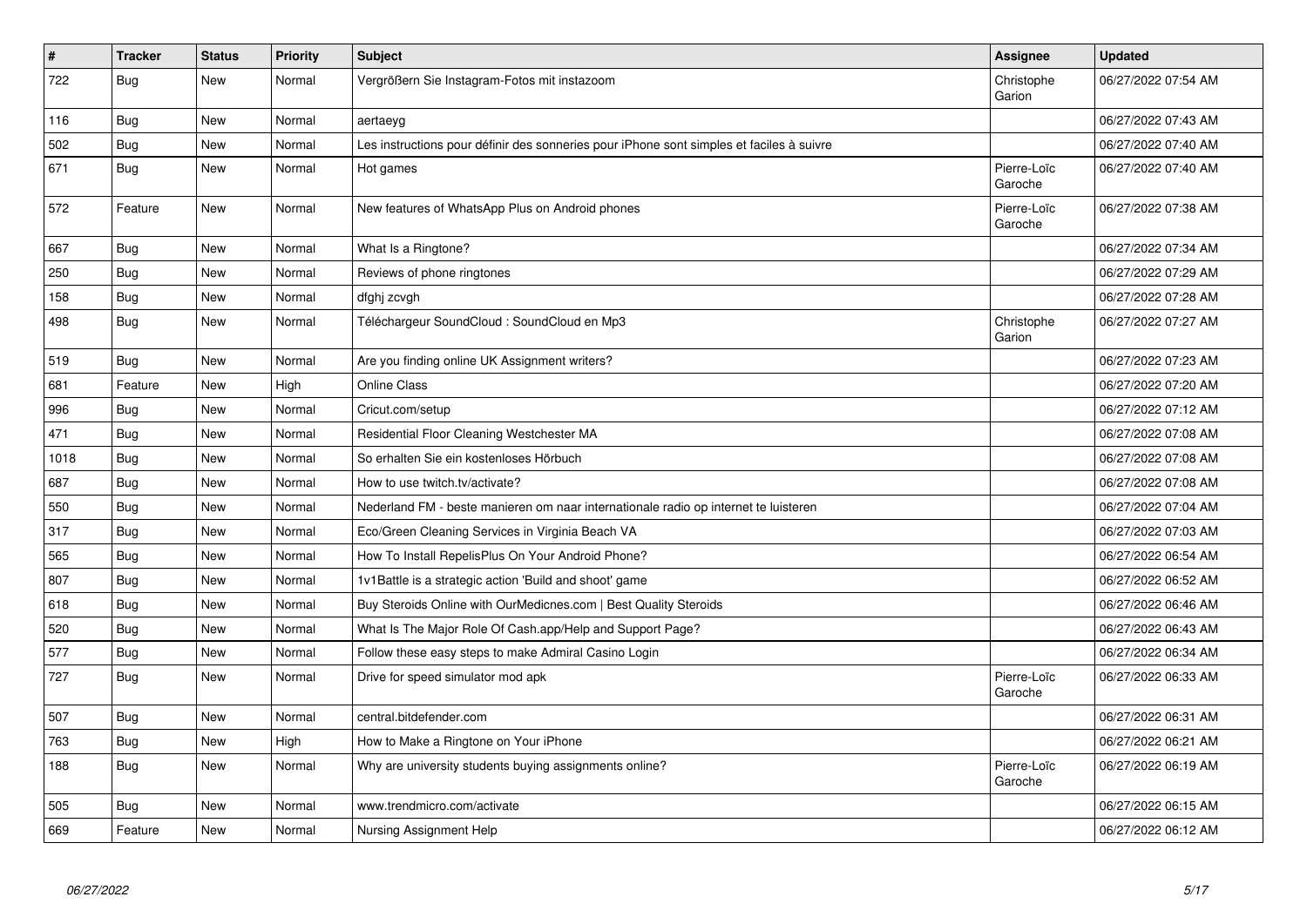| $\pmb{\#}$ | <b>Tracker</b> | <b>Status</b> | <b>Priority</b> | <b>Subject</b>                                                                           | Assignee               | <b>Updated</b>      |
|------------|----------------|---------------|-----------------|------------------------------------------------------------------------------------------|------------------------|---------------------|
| 722        | <b>Bug</b>     | <b>New</b>    | Normal          | Vergrößern Sie Instagram-Fotos mit instazoom                                             | Christophe<br>Garion   | 06/27/2022 07:54 AM |
| 116        | Bug            | New           | Normal          | aertaeyg                                                                                 |                        | 06/27/2022 07:43 AM |
| 502        | <b>Bug</b>     | New           | Normal          | Les instructions pour définir des sonneries pour iPhone sont simples et faciles à suivre |                        | 06/27/2022 07:40 AM |
| 671        | Bug            | <b>New</b>    | Normal          | Hot games                                                                                | Pierre-Loïc<br>Garoche | 06/27/2022 07:40 AM |
| 572        | Feature        | New           | Normal          | New features of WhatsApp Plus on Android phones                                          | Pierre-Loïc<br>Garoche | 06/27/2022 07:38 AM |
| 667        | Bug            | New           | Normal          | What Is a Ringtone?                                                                      |                        | 06/27/2022 07:34 AM |
| 250        | <b>Bug</b>     | New           | Normal          | Reviews of phone ringtones                                                               |                        | 06/27/2022 07:29 AM |
| 158        | Bug            | New           | Normal          | dfghj zcvgh                                                                              |                        | 06/27/2022 07:28 AM |
| 498        | <b>Bug</b>     | New           | Normal          | Téléchargeur SoundCloud : SoundCloud en Mp3                                              | Christophe<br>Garion   | 06/27/2022 07:27 AM |
| 519        | <b>Bug</b>     | <b>New</b>    | Normal          | Are you finding online UK Assignment writers?                                            |                        | 06/27/2022 07:23 AM |
| 681        | Feature        | New           | High            | Online Class                                                                             |                        | 06/27/2022 07:20 AM |
| 996        | <b>Bug</b>     | New           | Normal          | Cricut.com/setup                                                                         |                        | 06/27/2022 07:12 AM |
| 471        | <b>Bug</b>     | New           | Normal          | Residential Floor Cleaning Westchester MA                                                |                        | 06/27/2022 07:08 AM |
| 1018       | Bug            | <b>New</b>    | Normal          | So erhalten Sie ein kostenloses Hörbuch                                                  |                        | 06/27/2022 07:08 AM |
| 687        | Bug            | New           | Normal          | How to use twitch.tv/activate?                                                           |                        | 06/27/2022 07:08 AM |
| 550        | Bug            | New           | Normal          | Nederland FM - beste manieren om naar internationale radio op internet te luisteren      |                        | 06/27/2022 07:04 AM |
| 317        | <b>Bug</b>     | <b>New</b>    | Normal          | Eco/Green Cleaning Services in Virginia Beach VA                                         |                        | 06/27/2022 07:03 AM |
| 565        | Bug            | New           | Normal          | How To Install RepelisPlus On Your Android Phone?                                        |                        | 06/27/2022 06:54 AM |
| 807        | <b>Bug</b>     | New           | Normal          | 1v1Battle is a strategic action 'Build and shoot' game                                   |                        | 06/27/2022 06:52 AM |
| 618        | <b>Bug</b>     | New           | Normal          | Buy Steroids Online with OurMedicnes.com   Best Quality Steroids                         |                        | 06/27/2022 06:46 AM |
| 520        | <b>Bug</b>     | <b>New</b>    | Normal          | What Is The Major Role Of Cash.app/Help and Support Page?                                |                        | 06/27/2022 06:43 AM |
| 577        | <b>Bug</b>     | New           | Normal          | Follow these easy steps to make Admiral Casino Login                                     |                        | 06/27/2022 06:34 AM |
| 727        | <b>Bug</b>     | New           | Normal          | Drive for speed simulator mod apk                                                        | Pierre-Loïc<br>Garoche | 06/27/2022 06:33 AM |
| 507        | <b>Bug</b>     | <b>New</b>    | Normal          | central.bitdefender.com                                                                  |                        | 06/27/2022 06:31 AM |
| 763        | <b>Bug</b>     | New           | High            | How to Make a Ringtone on Your iPhone                                                    |                        | 06/27/2022 06:21 AM |
| 188        | Bug            | <b>New</b>    | Normal          | Why are university students buying assignments online?                                   | Pierre-Loïc<br>Garoche | 06/27/2022 06:19 AM |
| 505        | <b>Bug</b>     | <b>New</b>    | Normal          | www.trendmicro.com/activate                                                              |                        | 06/27/2022 06:15 AM |
| 669        | Feature        | New           | Normal          | Nursing Assignment Help                                                                  |                        | 06/27/2022 06:12 AM |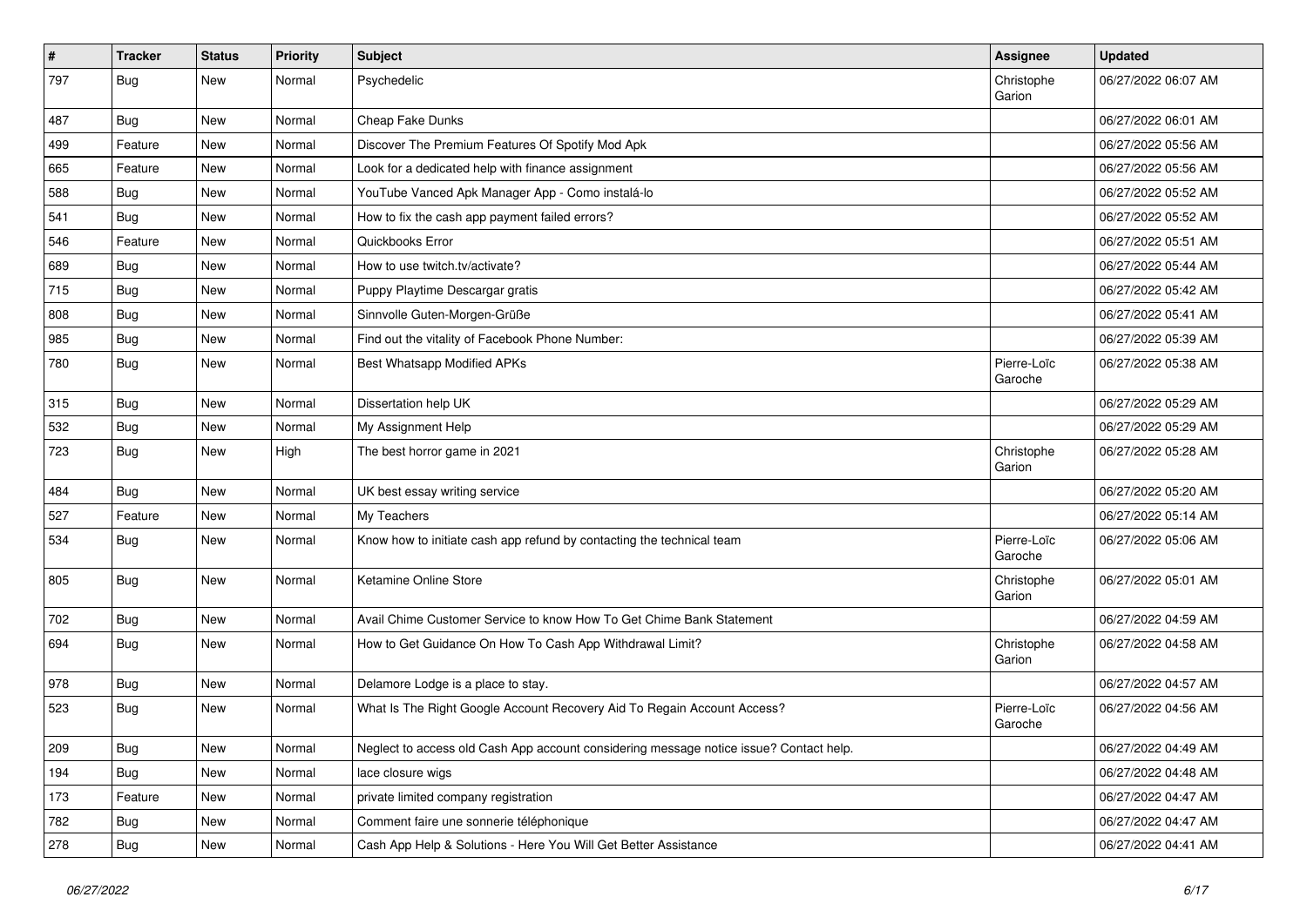| $\vert$ # | Tracker    | <b>Status</b> | <b>Priority</b> | Subject                                                                                | Assignee               | <b>Updated</b>      |
|-----------|------------|---------------|-----------------|----------------------------------------------------------------------------------------|------------------------|---------------------|
| 797       | <b>Bug</b> | New           | Normal          | Psychedelic                                                                            | Christophe<br>Garion   | 06/27/2022 06:07 AM |
| 487       | <b>Bug</b> | New           | Normal          | Cheap Fake Dunks                                                                       |                        | 06/27/2022 06:01 AM |
| 499       | Feature    | New           | Normal          | Discover The Premium Features Of Spotify Mod Apk                                       |                        | 06/27/2022 05:56 AM |
| 665       | Feature    | New           | Normal          | Look for a dedicated help with finance assignment                                      |                        | 06/27/2022 05:56 AM |
| 588       | <b>Bug</b> | New           | Normal          | YouTube Vanced Apk Manager App - Como instalá-lo                                       |                        | 06/27/2022 05:52 AM |
| 541       | Bug        | New           | Normal          | How to fix the cash app payment failed errors?                                         |                        | 06/27/2022 05:52 AM |
| 546       | Feature    | New           | Normal          | Quickbooks Error                                                                       |                        | 06/27/2022 05:51 AM |
| 689       | <b>Bug</b> | New           | Normal          | How to use twitch.tv/activate?                                                         |                        | 06/27/2022 05:44 AM |
| 715       | Bug        | New           | Normal          | Puppy Playtime Descargar gratis                                                        |                        | 06/27/2022 05:42 AM |
| 808       | <b>Bug</b> | New           | Normal          | Sinnvolle Guten-Morgen-Grüße                                                           |                        | 06/27/2022 05:41 AM |
| 985       | Bug        | New           | Normal          | Find out the vitality of Facebook Phone Number:                                        |                        | 06/27/2022 05:39 AM |
| 780       | <b>Bug</b> | New           | Normal          | <b>Best Whatsapp Modified APKs</b>                                                     | Pierre-Loïc<br>Garoche | 06/27/2022 05:38 AM |
| 315       | Bug        | New           | Normal          | Dissertation help UK                                                                   |                        | 06/27/2022 05:29 AM |
| 532       | Bug        | New           | Normal          | My Assignment Help                                                                     |                        | 06/27/2022 05:29 AM |
| 723       | <b>Bug</b> | New           | High            | The best horror game in 2021                                                           | Christophe<br>Garion   | 06/27/2022 05:28 AM |
| 484       | <b>Bug</b> | <b>New</b>    | Normal          | UK best essay writing service                                                          |                        | 06/27/2022 05:20 AM |
| 527       | Feature    | New           | Normal          | My Teachers                                                                            |                        | 06/27/2022 05:14 AM |
| 534       | Bug        | New           | Normal          | Know how to initiate cash app refund by contacting the technical team                  | Pierre-Loïc<br>Garoche | 06/27/2022 05:06 AM |
| 805       | <b>Bug</b> | New           | Normal          | Ketamine Online Store                                                                  | Christophe<br>Garion   | 06/27/2022 05:01 AM |
| 702       | <b>Bug</b> | New           | Normal          | Avail Chime Customer Service to know How To Get Chime Bank Statement                   |                        | 06/27/2022 04:59 AM |
| 694       | Bug        | New           | Normal          | How to Get Guidance On How To Cash App Withdrawal Limit?                               | Christophe<br>Garion   | 06/27/2022 04:58 AM |
| 978       | <b>Bug</b> | New           | Normal          | Delamore Lodge is a place to stay.                                                     |                        | 06/27/2022 04:57 AM |
| 523       | Bug        | New           | Normal          | What Is The Right Google Account Recovery Aid To Regain Account Access?                | Pierre-Loïc<br>Garoche | 06/27/2022 04:56 AM |
| 209       | Bug        | New           | Normal          | Neglect to access old Cash App account considering message notice issue? Contact help. |                        | 06/27/2022 04:49 AM |
| 194       | <b>Bug</b> | New           | Normal          | lace closure wigs                                                                      |                        | 06/27/2022 04:48 AM |
| 173       | Feature    | New           | Normal          | private limited company registration                                                   |                        | 06/27/2022 04:47 AM |
| 782       | <b>Bug</b> | New           | Normal          | Comment faire une sonnerie téléphonique                                                |                        | 06/27/2022 04:47 AM |
| 278       | <b>Bug</b> | New           | Normal          | Cash App Help & Solutions - Here You Will Get Better Assistance                        |                        | 06/27/2022 04:41 AM |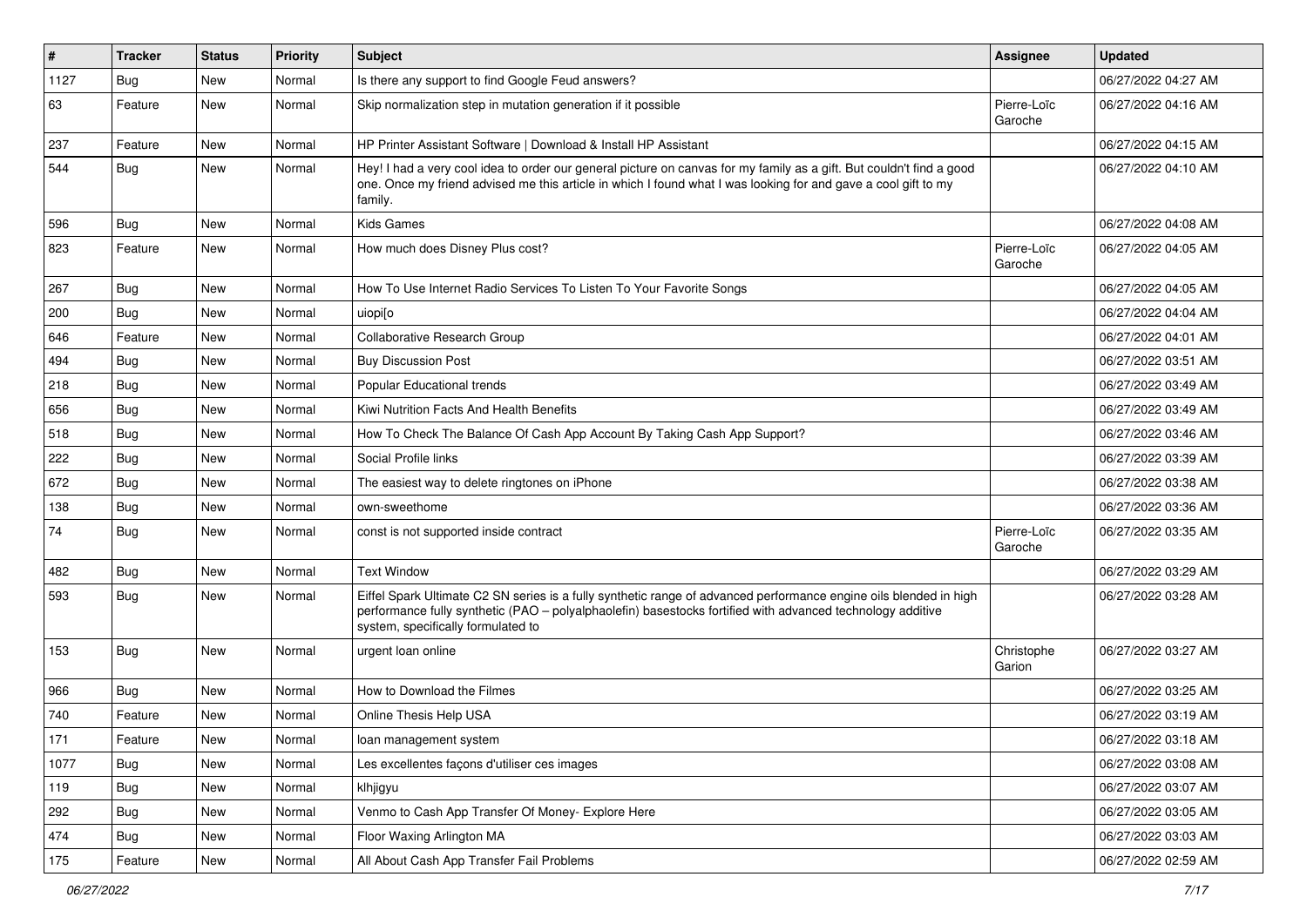| $\vert$ # | <b>Tracker</b> | <b>Status</b> | <b>Priority</b> | Subject                                                                                                                                                                                                                                                               | <b>Assignee</b>        | <b>Updated</b>      |
|-----------|----------------|---------------|-----------------|-----------------------------------------------------------------------------------------------------------------------------------------------------------------------------------------------------------------------------------------------------------------------|------------------------|---------------------|
| 1127      | <b>Bug</b>     | New           | Normal          | Is there any support to find Google Feud answers?                                                                                                                                                                                                                     |                        | 06/27/2022 04:27 AM |
| 63        | Feature        | New           | Normal          | Skip normalization step in mutation generation if it possible                                                                                                                                                                                                         | Pierre-Loïc<br>Garoche | 06/27/2022 04:16 AM |
| 237       | Feature        | <b>New</b>    | Normal          | HP Printer Assistant Software   Download & Install HP Assistant                                                                                                                                                                                                       |                        | 06/27/2022 04:15 AM |
| 544       | Bug            | New           | Normal          | Hey! I had a very cool idea to order our general picture on canvas for my family as a gift. But couldn't find a good<br>one. Once my friend advised me this article in which I found what I was looking for and gave a cool gift to my<br>family.                     |                        | 06/27/2022 04:10 AM |
| 596       | Bug            | New           | Normal          | <b>Kids Games</b>                                                                                                                                                                                                                                                     |                        | 06/27/2022 04:08 AM |
| 823       | Feature        | New           | Normal          | How much does Disney Plus cost?                                                                                                                                                                                                                                       | Pierre-Loïc<br>Garoche | 06/27/2022 04:05 AM |
| 267       | Bug            | New           | Normal          | How To Use Internet Radio Services To Listen To Your Favorite Songs                                                                                                                                                                                                   |                        | 06/27/2022 04:05 AM |
| 200       | Bug            | New           | Normal          | uiopi[o                                                                                                                                                                                                                                                               |                        | 06/27/2022 04:04 AM |
| 646       | Feature        | New           | Normal          | Collaborative Research Group                                                                                                                                                                                                                                          |                        | 06/27/2022 04:01 AM |
| 494       | <b>Bug</b>     | New           | Normal          | <b>Buy Discussion Post</b>                                                                                                                                                                                                                                            |                        | 06/27/2022 03:51 AM |
| 218       | Bug            | New           | Normal          | Popular Educational trends                                                                                                                                                                                                                                            |                        | 06/27/2022 03:49 AM |
| 656       | <b>Bug</b>     | <b>New</b>    | Normal          | Kiwi Nutrition Facts And Health Benefits                                                                                                                                                                                                                              |                        | 06/27/2022 03:49 AM |
| 518       | <b>Bug</b>     | New           | Normal          | How To Check The Balance Of Cash App Account By Taking Cash App Support?                                                                                                                                                                                              |                        | 06/27/2022 03:46 AM |
| 222       | Bug            | New           | Normal          | Social Profile links                                                                                                                                                                                                                                                  |                        | 06/27/2022 03:39 AM |
| 672       | Bug            | New           | Normal          | The easiest way to delete ringtones on iPhone                                                                                                                                                                                                                         |                        | 06/27/2022 03:38 AM |
| 138       | <b>Bug</b>     | <b>New</b>    | Normal          | own-sweethome                                                                                                                                                                                                                                                         |                        | 06/27/2022 03:36 AM |
| 74        | Bug            | New           | Normal          | const is not supported inside contract                                                                                                                                                                                                                                | Pierre-Loïc<br>Garoche | 06/27/2022 03:35 AM |
| 482       | Bug            | New           | Normal          | <b>Text Window</b>                                                                                                                                                                                                                                                    |                        | 06/27/2022 03:29 AM |
| 593       | Bug            | New           | Normal          | Eiffel Spark Ultimate C2 SN series is a fully synthetic range of advanced performance engine oils blended in high<br>performance fully synthetic (PAO – polyalphaolefin) basestocks fortified with advanced technology additive<br>system, specifically formulated to |                        | 06/27/2022 03:28 AM |
| 153       | <b>Bug</b>     | New           | Normal          | urgent loan online                                                                                                                                                                                                                                                    | Christophe<br>Garion   | 06/27/2022 03:27 AM |
| 966       | Bug            | New           | Normal          | How to Download the Filmes                                                                                                                                                                                                                                            |                        | 06/27/2022 03:25 AM |
| 740       | Feature        | New           | Normal          | Online Thesis Help USA                                                                                                                                                                                                                                                |                        | 06/27/2022 03:19 AM |
| 171       | Feature        | New           | Normal          | loan management system                                                                                                                                                                                                                                                |                        | 06/27/2022 03:18 AM |
| 1077      | Bug            | New           | Normal          | Les excellentes façons d'utiliser ces images                                                                                                                                                                                                                          |                        | 06/27/2022 03:08 AM |
| 119       | Bug            | New           | Normal          | klhjigyu                                                                                                                                                                                                                                                              |                        | 06/27/2022 03:07 AM |
| 292       | <b>Bug</b>     | New           | Normal          | Venmo to Cash App Transfer Of Money- Explore Here                                                                                                                                                                                                                     |                        | 06/27/2022 03:05 AM |
| 474       | <b>Bug</b>     | New           | Normal          | Floor Waxing Arlington MA                                                                                                                                                                                                                                             |                        | 06/27/2022 03:03 AM |
| 175       | Feature        | New           | Normal          | All About Cash App Transfer Fail Problems                                                                                                                                                                                                                             |                        | 06/27/2022 02:59 AM |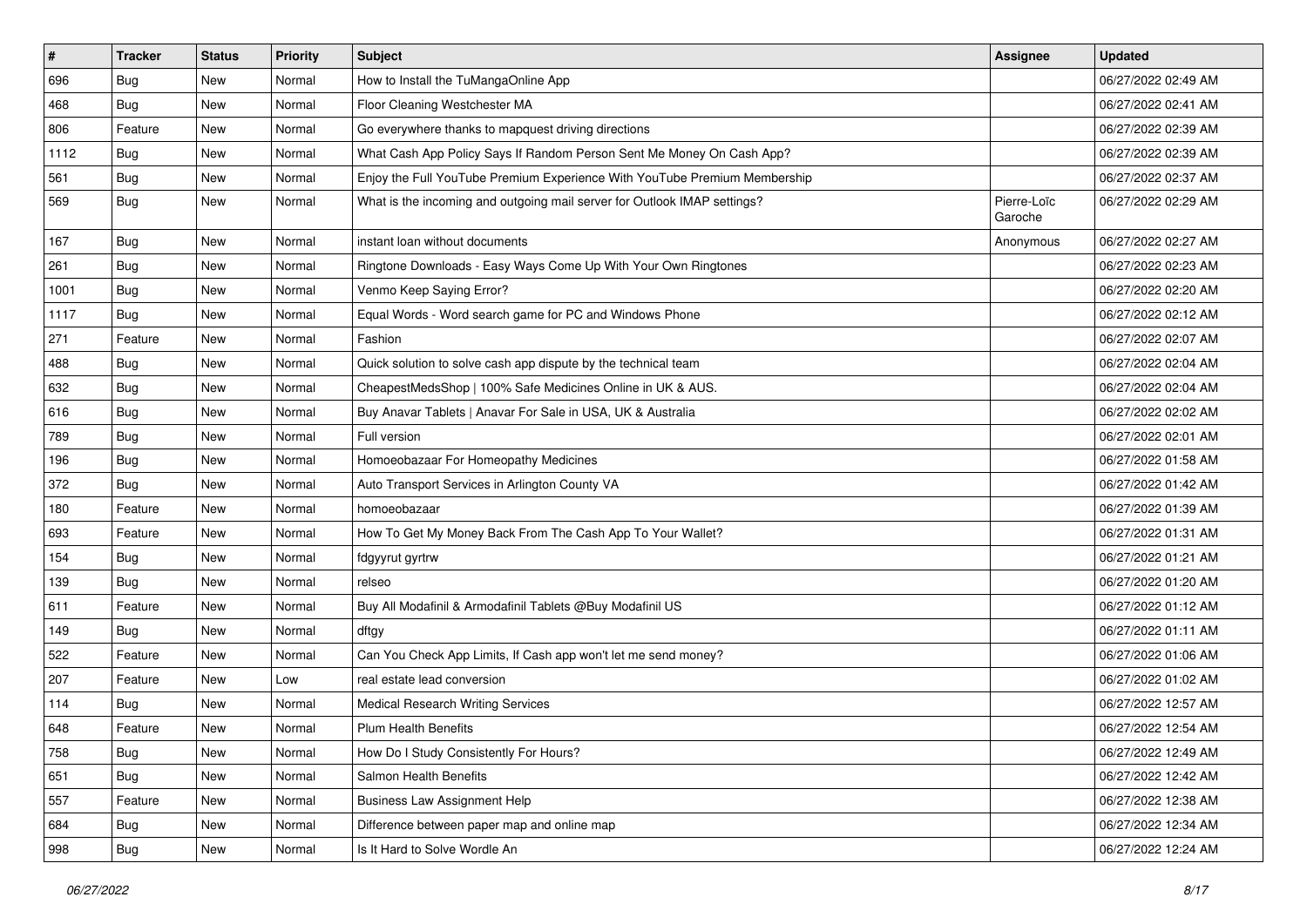| $\vert$ # | <b>Tracker</b> | <b>Status</b> | <b>Priority</b> | <b>Subject</b>                                                            | Assignee               | <b>Updated</b>      |
|-----------|----------------|---------------|-----------------|---------------------------------------------------------------------------|------------------------|---------------------|
| 696       | <b>Bug</b>     | New           | Normal          | How to Install the TuMangaOnline App                                      |                        | 06/27/2022 02:49 AM |
| 468       | <b>Bug</b>     | New           | Normal          | Floor Cleaning Westchester MA                                             |                        | 06/27/2022 02:41 AM |
| 806       | Feature        | New           | Normal          | Go everywhere thanks to mapquest driving directions                       |                        | 06/27/2022 02:39 AM |
| 1112      | <b>Bug</b>     | New           | Normal          | What Cash App Policy Says If Random Person Sent Me Money On Cash App?     |                        | 06/27/2022 02:39 AM |
| 561       | Bug            | New           | Normal          | Enjoy the Full YouTube Premium Experience With YouTube Premium Membership |                        | 06/27/2022 02:37 AM |
| 569       | Bug            | New           | Normal          | What is the incoming and outgoing mail server for Outlook IMAP settings?  | Pierre-Loïc<br>Garoche | 06/27/2022 02:29 AM |
| 167       | Bug            | New           | Normal          | instant loan without documents                                            | Anonymous              | 06/27/2022 02:27 AM |
| 261       | Bug            | New           | Normal          | Ringtone Downloads - Easy Ways Come Up With Your Own Ringtones            |                        | 06/27/2022 02:23 AM |
| 1001      | <b>Bug</b>     | <b>New</b>    | Normal          | Venmo Keep Saying Error?                                                  |                        | 06/27/2022 02:20 AM |
| 1117      | Bug            | New           | Normal          | Equal Words - Word search game for PC and Windows Phone                   |                        | 06/27/2022 02:12 AM |
| 271       | Feature        | New           | Normal          | Fashion                                                                   |                        | 06/27/2022 02:07 AM |
| 488       | Bug            | New           | Normal          | Quick solution to solve cash app dispute by the technical team            |                        | 06/27/2022 02:04 AM |
| 632       | Bug            | New           | Normal          | CheapestMedsShop   100% Safe Medicines Online in UK & AUS.                |                        | 06/27/2022 02:04 AM |
| 616       | <b>Bug</b>     | New           | Normal          | Buy Anavar Tablets   Anavar For Sale in USA, UK & Australia               |                        | 06/27/2022 02:02 AM |
| 789       | <b>Bug</b>     | New           | Normal          | Full version                                                              |                        | 06/27/2022 02:01 AM |
| 196       | <b>Bug</b>     | <b>New</b>    | Normal          | Homoeobazaar For Homeopathy Medicines                                     |                        | 06/27/2022 01:58 AM |
| 372       | Bug            | New           | Normal          | Auto Transport Services in Arlington County VA                            |                        | 06/27/2022 01:42 AM |
| 180       | Feature        | New           | Normal          | homoeobazaar                                                              |                        | 06/27/2022 01:39 AM |
| 693       | Feature        | New           | Normal          | How To Get My Money Back From The Cash App To Your Wallet?                |                        | 06/27/2022 01:31 AM |
| 154       | <b>Bug</b>     | New           | Normal          | fdgyyrut gyrtrw                                                           |                        | 06/27/2022 01:21 AM |
| 139       | <b>Bug</b>     | New           | Normal          | relseo                                                                    |                        | 06/27/2022 01:20 AM |
| 611       | Feature        | New           | Normal          | Buy All Modafinil & Armodafinil Tablets @Buy Modafinil US                 |                        | 06/27/2022 01:12 AM |
| 149       | <b>Bug</b>     | New           | Normal          | dftgy                                                                     |                        | 06/27/2022 01:11 AM |
| 522       | Feature        | New           | Normal          | Can You Check App Limits, If Cash app won't let me send money?            |                        | 06/27/2022 01:06 AM |
| 207       | Feature        | New           | Low             | real estate lead conversion                                               |                        | 06/27/2022 01:02 AM |
| 114       | Bug            | New           | Normal          | <b>Medical Research Writing Services</b>                                  |                        | 06/27/2022 12:57 AM |
| 648       | Feature        | New           | Normal          | <b>Plum Health Benefits</b>                                               |                        | 06/27/2022 12:54 AM |
| 758       | <b>Bug</b>     | New           | Normal          | How Do I Study Consistently For Hours?                                    |                        | 06/27/2022 12:49 AM |
| 651       | <b>Bug</b>     | New           | Normal          | Salmon Health Benefits                                                    |                        | 06/27/2022 12:42 AM |
| 557       | Feature        | New           | Normal          | <b>Business Law Assignment Help</b>                                       |                        | 06/27/2022 12:38 AM |
| 684       | <b>Bug</b>     | New           | Normal          | Difference between paper map and online map                               |                        | 06/27/2022 12:34 AM |
| 998       | Bug            | New           | Normal          | Is It Hard to Solve Wordle An                                             |                        | 06/27/2022 12:24 AM |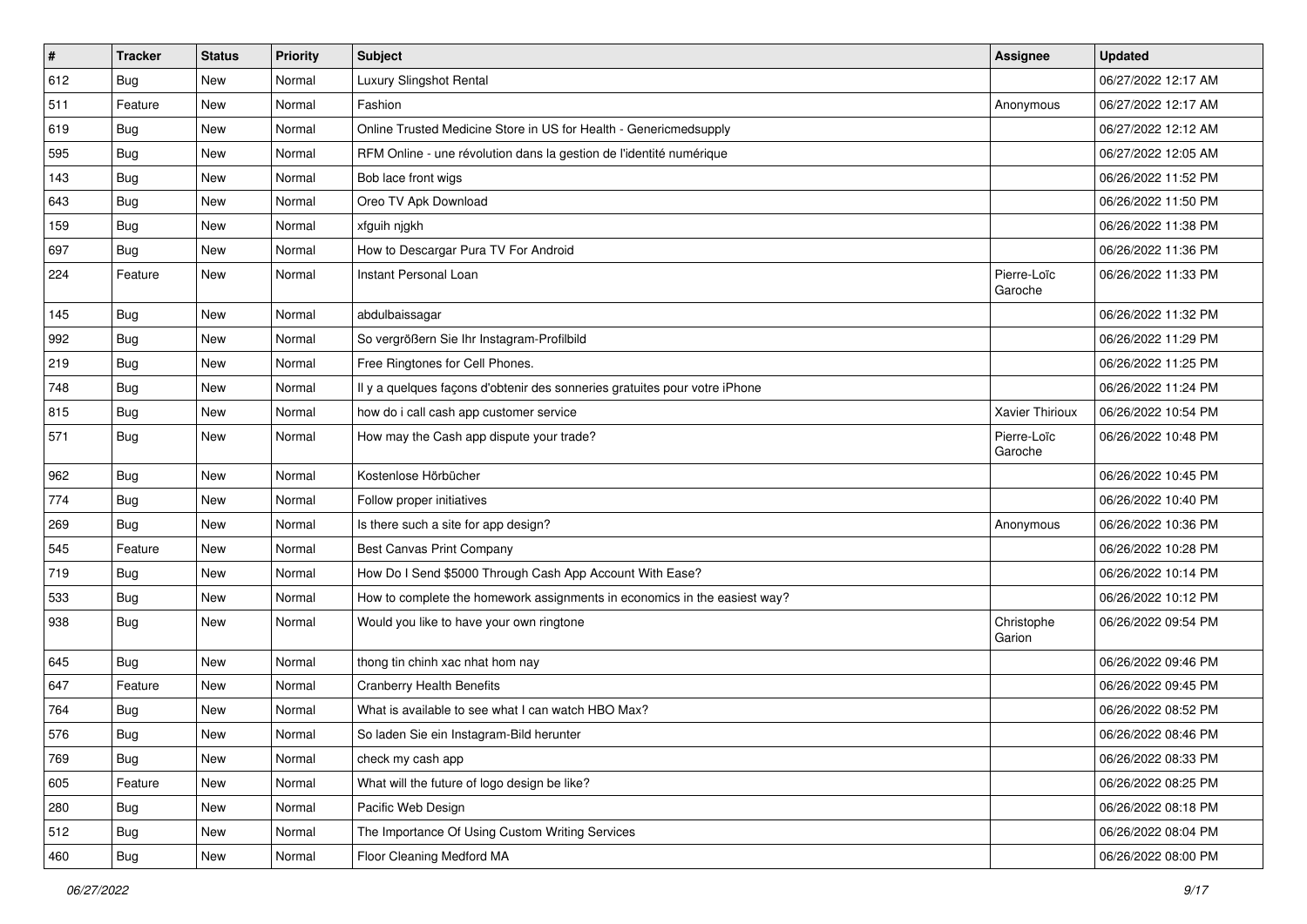| $\vert$ # | <b>Tracker</b> | <b>Status</b> | <b>Priority</b> | <b>Subject</b>                                                             | Assignee               | <b>Updated</b>      |
|-----------|----------------|---------------|-----------------|----------------------------------------------------------------------------|------------------------|---------------------|
| 612       | <b>Bug</b>     | New           | Normal          | Luxury Slingshot Rental                                                    |                        | 06/27/2022 12:17 AM |
| 511       | Feature        | New           | Normal          | Fashion                                                                    | Anonymous              | 06/27/2022 12:17 AM |
| 619       | Bug            | New           | Normal          | Online Trusted Medicine Store in US for Health - Genericmedsupply          |                        | 06/27/2022 12:12 AM |
| 595       | Bug            | New           | Normal          | RFM Online - une révolution dans la gestion de l'identité numérique        |                        | 06/27/2022 12:05 AM |
| 143       | Bug            | New           | Normal          | Bob lace front wigs                                                        |                        | 06/26/2022 11:52 PM |
| 643       | <b>Bug</b>     | New           | Normal          | Oreo TV Apk Download                                                       |                        | 06/26/2022 11:50 PM |
| 159       | <b>Bug</b>     | New           | Normal          | xfguih njgkh                                                               |                        | 06/26/2022 11:38 PM |
| 697       | Bug            | New           | Normal          | How to Descargar Pura TV For Android                                       |                        | 06/26/2022 11:36 PM |
| 224       | Feature        | New           | Normal          | Instant Personal Loan                                                      | Pierre-Loïc<br>Garoche | 06/26/2022 11:33 PM |
| 145       | Bug            | New           | Normal          | abdulbaissagar                                                             |                        | 06/26/2022 11:32 PM |
| 992       | Bug            | New           | Normal          | So vergrößern Sie Ihr Instagram-Profilbild                                 |                        | 06/26/2022 11:29 PM |
| 219       | <b>Bug</b>     | New           | Normal          | Free Ringtones for Cell Phones.                                            |                        | 06/26/2022 11:25 PM |
| 748       | <b>Bug</b>     | New           | Normal          | Il y a quelques façons d'obtenir des sonneries gratuites pour votre iPhone |                        | 06/26/2022 11:24 PM |
| 815       | <b>Bug</b>     | New           | Normal          | how do i call cash app customer service                                    | Xavier Thirioux        | 06/26/2022 10:54 PM |
| 571       | Bug            | New           | Normal          | How may the Cash app dispute your trade?                                   | Pierre-Loïc<br>Garoche | 06/26/2022 10:48 PM |
| 962       | <b>Bug</b>     | New           | Normal          | Kostenlose Hörbücher                                                       |                        | 06/26/2022 10:45 PM |
| 774       | <b>Bug</b>     | New           | Normal          | Follow proper initiatives                                                  |                        | 06/26/2022 10:40 PM |
| 269       | <b>Bug</b>     | New           | Normal          | Is there such a site for app design?                                       | Anonymous              | 06/26/2022 10:36 PM |
| 545       | Feature        | New           | Normal          | <b>Best Canvas Print Company</b>                                           |                        | 06/26/2022 10:28 PM |
| 719       | <b>Bug</b>     | New           | Normal          | How Do I Send \$5000 Through Cash App Account With Ease?                   |                        | 06/26/2022 10:14 PM |
| 533       | Bug            | New           | Normal          | How to complete the homework assignments in economics in the easiest way?  |                        | 06/26/2022 10:12 PM |
| 938       | Bug            | New           | Normal          | Would you like to have your own ringtone                                   | Christophe<br>Garion   | 06/26/2022 09:54 PM |
| 645       | Bug            | New           | Normal          | thong tin chinh xac nhat hom nay                                           |                        | 06/26/2022 09:46 PM |
| 647       | Feature        | New           | Normal          | <b>Cranberry Health Benefits</b>                                           |                        | 06/26/2022 09:45 PM |
| 764       | <b>Bug</b>     | New           | Normal          | What is available to see what I can watch HBO Max?                         |                        | 06/26/2022 08:52 PM |
| 576       | <b>Bug</b>     | New           | Normal          | So laden Sie ein Instagram-Bild herunter                                   |                        | 06/26/2022 08:46 PM |
| 769       | <b>Bug</b>     | New           | Normal          | check my cash app                                                          |                        | 06/26/2022 08:33 PM |
| 605       | Feature        | New           | Normal          | What will the future of logo design be like?                               |                        | 06/26/2022 08:25 PM |
| 280       | <b>Bug</b>     | New           | Normal          | Pacific Web Design                                                         |                        | 06/26/2022 08:18 PM |
| 512       | <b>Bug</b>     | New           | Normal          | The Importance Of Using Custom Writing Services                            |                        | 06/26/2022 08:04 PM |
| 460       | Bug            | New           | Normal          | Floor Cleaning Medford MA                                                  |                        | 06/26/2022 08:00 PM |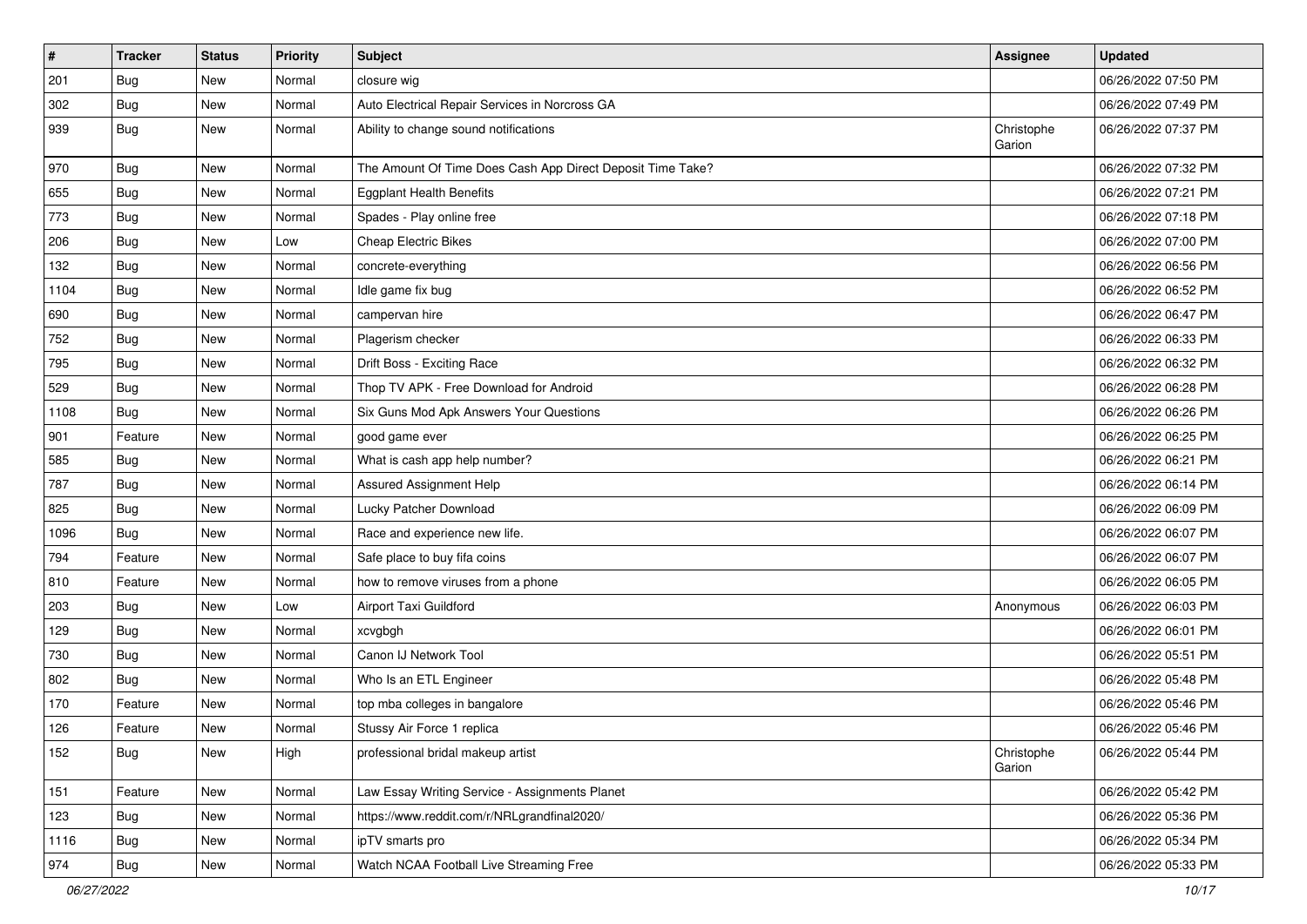| $\pmb{\#}$ | <b>Tracker</b> | <b>Status</b> | <b>Priority</b> | <b>Subject</b>                                             | <b>Assignee</b>      | <b>Updated</b>      |
|------------|----------------|---------------|-----------------|------------------------------------------------------------|----------------------|---------------------|
| 201        | <b>Bug</b>     | New           | Normal          | closure wig                                                |                      | 06/26/2022 07:50 PM |
| 302        | <b>Bug</b>     | New           | Normal          | Auto Electrical Repair Services in Norcross GA             |                      | 06/26/2022 07:49 PM |
| 939        | Bug            | New           | Normal          | Ability to change sound notifications                      | Christophe<br>Garion | 06/26/2022 07:37 PM |
| 970        | Bug            | New           | Normal          | The Amount Of Time Does Cash App Direct Deposit Time Take? |                      | 06/26/2022 07:32 PM |
| 655        | Bug            | New           | Normal          | <b>Eggplant Health Benefits</b>                            |                      | 06/26/2022 07:21 PM |
| 773        | <b>Bug</b>     | New           | Normal          | Spades - Play online free                                  |                      | 06/26/2022 07:18 PM |
| 206        | Bug            | New           | Low             | <b>Cheap Electric Bikes</b>                                |                      | 06/26/2022 07:00 PM |
| 132        | Bug            | New           | Normal          | concrete-everything                                        |                      | 06/26/2022 06:56 PM |
| 1104       | <b>Bug</b>     | New           | Normal          | Idle game fix bug                                          |                      | 06/26/2022 06:52 PM |
| 690        | Bug            | New           | Normal          | campervan hire                                             |                      | 06/26/2022 06:47 PM |
| 752        | <b>Bug</b>     | New           | Normal          | Plagerism checker                                          |                      | 06/26/2022 06:33 PM |
| 795        | Bug            | New           | Normal          | Drift Boss - Exciting Race                                 |                      | 06/26/2022 06:32 PM |
| 529        | <b>Bug</b>     | New           | Normal          | Thop TV APK - Free Download for Android                    |                      | 06/26/2022 06:28 PM |
| 1108       | Bug            | New           | Normal          | Six Guns Mod Apk Answers Your Questions                    |                      | 06/26/2022 06:26 PM |
| 901        | Feature        | New           | Normal          | good game ever                                             |                      | 06/26/2022 06:25 PM |
| 585        | Bug            | New           | Normal          | What is cash app help number?                              |                      | 06/26/2022 06:21 PM |
| 787        | Bug            | New           | Normal          | Assured Assignment Help                                    |                      | 06/26/2022 06:14 PM |
| 825        | <b>Bug</b>     | New           | Normal          | Lucky Patcher Download                                     |                      | 06/26/2022 06:09 PM |
| 1096       | Bug            | New           | Normal          | Race and experience new life.                              |                      | 06/26/2022 06:07 PM |
| 794        | Feature        | New           | Normal          | Safe place to buy fifa coins                               |                      | 06/26/2022 06:07 PM |
| 810        | Feature        | New           | Normal          | how to remove viruses from a phone                         |                      | 06/26/2022 06:05 PM |
| 203        | <b>Bug</b>     | New           | Low             | Airport Taxi Guildford                                     | Anonymous            | 06/26/2022 06:03 PM |
| 129        | <b>Bug</b>     | New           | Normal          | xcvgbgh                                                    |                      | 06/26/2022 06:01 PM |
| 730        | Bug            | New           | Normal          | Canon IJ Network Tool                                      |                      | 06/26/2022 05:51 PM |
| 802        | <b>Bug</b>     | New           | Normal          | Who Is an ETL Engineer                                     |                      | 06/26/2022 05:48 PM |
| 170        | Feature        | New           | Normal          | top mba colleges in bangalore                              |                      | 06/26/2022 05:46 PM |
| 126        | Feature        | New           | Normal          | Stussy Air Force 1 replica                                 |                      | 06/26/2022 05:46 PM |
| 152        | Bug            | New           | High            | professional bridal makeup artist                          | Christophe<br>Garion | 06/26/2022 05:44 PM |
| 151        | Feature        | New           | Normal          | Law Essay Writing Service - Assignments Planet             |                      | 06/26/2022 05:42 PM |
| 123        | Bug            | New           | Normal          | https://www.reddit.com/r/NRLgrandfinal2020/                |                      | 06/26/2022 05:36 PM |
| 1116       | <b>Bug</b>     | New           | Normal          | ipTV smarts pro                                            |                      | 06/26/2022 05:34 PM |
| 974        | Bug            | New           | Normal          | Watch NCAA Football Live Streaming Free                    |                      | 06/26/2022 05:33 PM |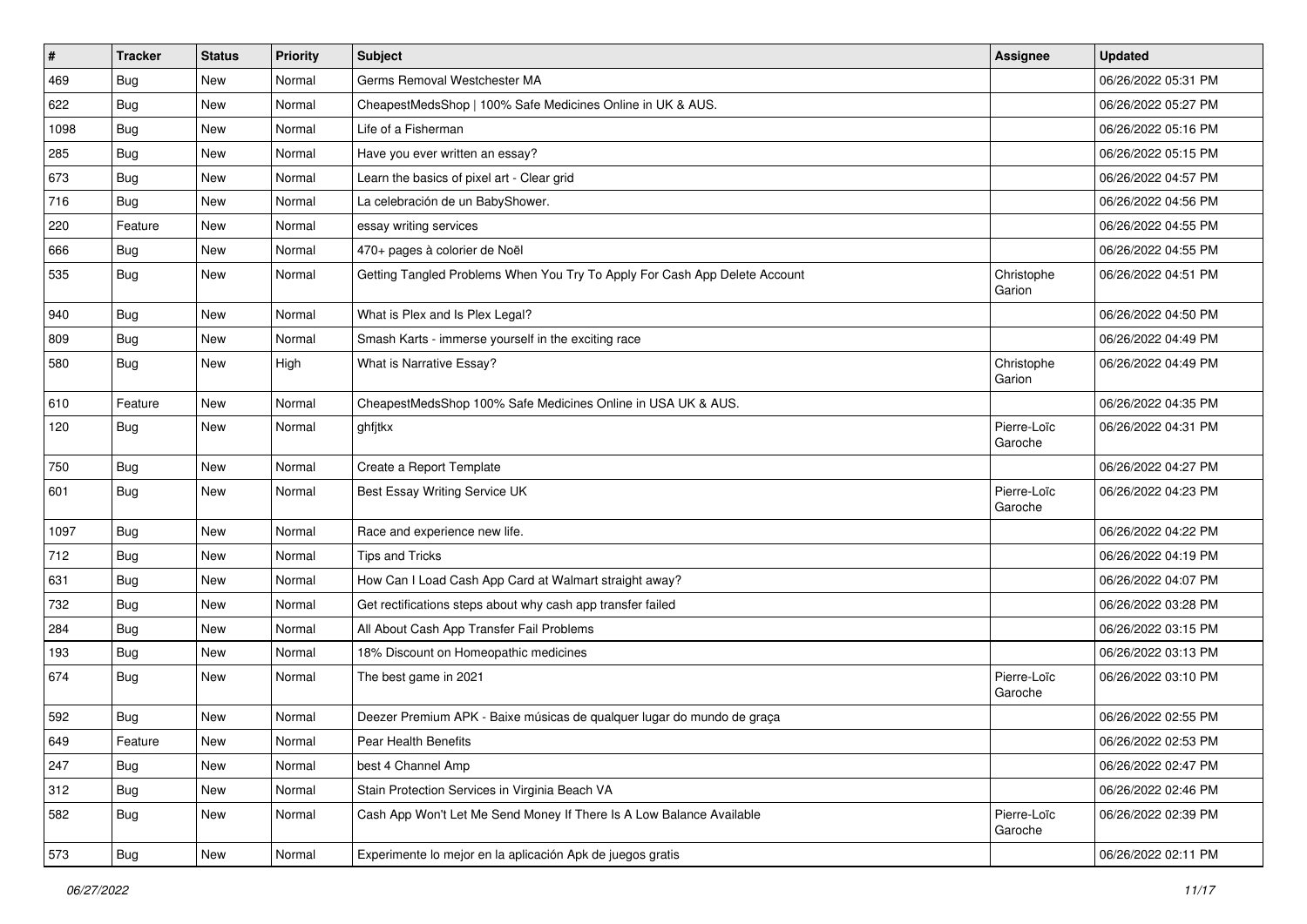| $\vert$ # | <b>Tracker</b> | <b>Status</b> | <b>Priority</b> | Subject                                                                    | Assignee               | <b>Updated</b>      |
|-----------|----------------|---------------|-----------------|----------------------------------------------------------------------------|------------------------|---------------------|
| 469       | <b>Bug</b>     | New           | Normal          | Germs Removal Westchester MA                                               |                        | 06/26/2022 05:31 PM |
| 622       | <b>Bug</b>     | New           | Normal          | CheapestMedsShop   100% Safe Medicines Online in UK & AUS.                 |                        | 06/26/2022 05:27 PM |
| 1098      | Bug            | New           | Normal          | Life of a Fisherman                                                        |                        | 06/26/2022 05:16 PM |
| 285       | Bug            | New           | Normal          | Have you ever written an essay?                                            |                        | 06/26/2022 05:15 PM |
| 673       | Bug            | New           | Normal          | Learn the basics of pixel art - Clear grid                                 |                        | 06/26/2022 04:57 PM |
| 716       | <b>Bug</b>     | New           | Normal          | La celebración de un BabyShower.                                           |                        | 06/26/2022 04:56 PM |
| 220       | Feature        | New           | Normal          | essay writing services                                                     |                        | 06/26/2022 04:55 PM |
| 666       | <b>Bug</b>     | New           | Normal          | 470+ pages à colorier de Noël                                              |                        | 06/26/2022 04:55 PM |
| 535       | <b>Bug</b>     | New           | Normal          | Getting Tangled Problems When You Try To Apply For Cash App Delete Account | Christophe<br>Garion   | 06/26/2022 04:51 PM |
| 940       | Bug            | New           | Normal          | What is Plex and Is Plex Legal?                                            |                        | 06/26/2022 04:50 PM |
| 809       | <b>Bug</b>     | New           | Normal          | Smash Karts - immerse yourself in the exciting race                        |                        | 06/26/2022 04:49 PM |
| 580       | Bug            | New           | High            | What is Narrative Essay?                                                   | Christophe<br>Garion   | 06/26/2022 04:49 PM |
| 610       | Feature        | New           | Normal          | CheapestMedsShop 100% Safe Medicines Online in USA UK & AUS.               |                        | 06/26/2022 04:35 PM |
| 120       | Bug            | New           | Normal          | ghfjtkx                                                                    | Pierre-Loïc<br>Garoche | 06/26/2022 04:31 PM |
| 750       | Bug            | New           | Normal          | Create a Report Template                                                   |                        | 06/26/2022 04:27 PM |
| 601       | <b>Bug</b>     | New           | Normal          | Best Essay Writing Service UK                                              | Pierre-Loïc<br>Garoche | 06/26/2022 04:23 PM |
| 1097      | <b>Bug</b>     | New           | Normal          | Race and experience new life.                                              |                        | 06/26/2022 04:22 PM |
| 712       | Bug            | New           | Normal          | <b>Tips and Tricks</b>                                                     |                        | 06/26/2022 04:19 PM |
| 631       | Bug            | New           | Normal          | How Can I Load Cash App Card at Walmart straight away?                     |                        | 06/26/2022 04:07 PM |
| 732       | Bug            | New           | Normal          | Get rectifications steps about why cash app transfer failed                |                        | 06/26/2022 03:28 PM |
| 284       | Bug            | New           | Normal          | All About Cash App Transfer Fail Problems                                  |                        | 06/26/2022 03:15 PM |
| 193       | <b>Bug</b>     | New           | Normal          | 18% Discount on Homeopathic medicines                                      |                        | 06/26/2022 03:13 PM |
| 674       | Bug            | New           | Normal          | The best game in 2021                                                      | Pierre-Loïc<br>Garoche | 06/26/2022 03:10 PM |
| 592       | Bug            | New           | Normal          | Deezer Premium APK - Baixe músicas de qualquer lugar do mundo de graça     |                        | 06/26/2022 02:55 PM |
| 649       | Feature        | New           | Normal          | Pear Health Benefits                                                       |                        | 06/26/2022 02:53 PM |
| 247       | <b>Bug</b>     | New           | Normal          | best 4 Channel Amp                                                         |                        | 06/26/2022 02:47 PM |
| 312       | <b>Bug</b>     | New           | Normal          | Stain Protection Services in Virginia Beach VA                             |                        | 06/26/2022 02:46 PM |
| 582       | <b>Bug</b>     | New           | Normal          | Cash App Won't Let Me Send Money If There Is A Low Balance Available       | Pierre-Loïc<br>Garoche | 06/26/2022 02:39 PM |
| 573       | <b>Bug</b>     | New           | Normal          | Experimente lo mejor en la aplicación Apk de juegos gratis                 |                        | 06/26/2022 02:11 PM |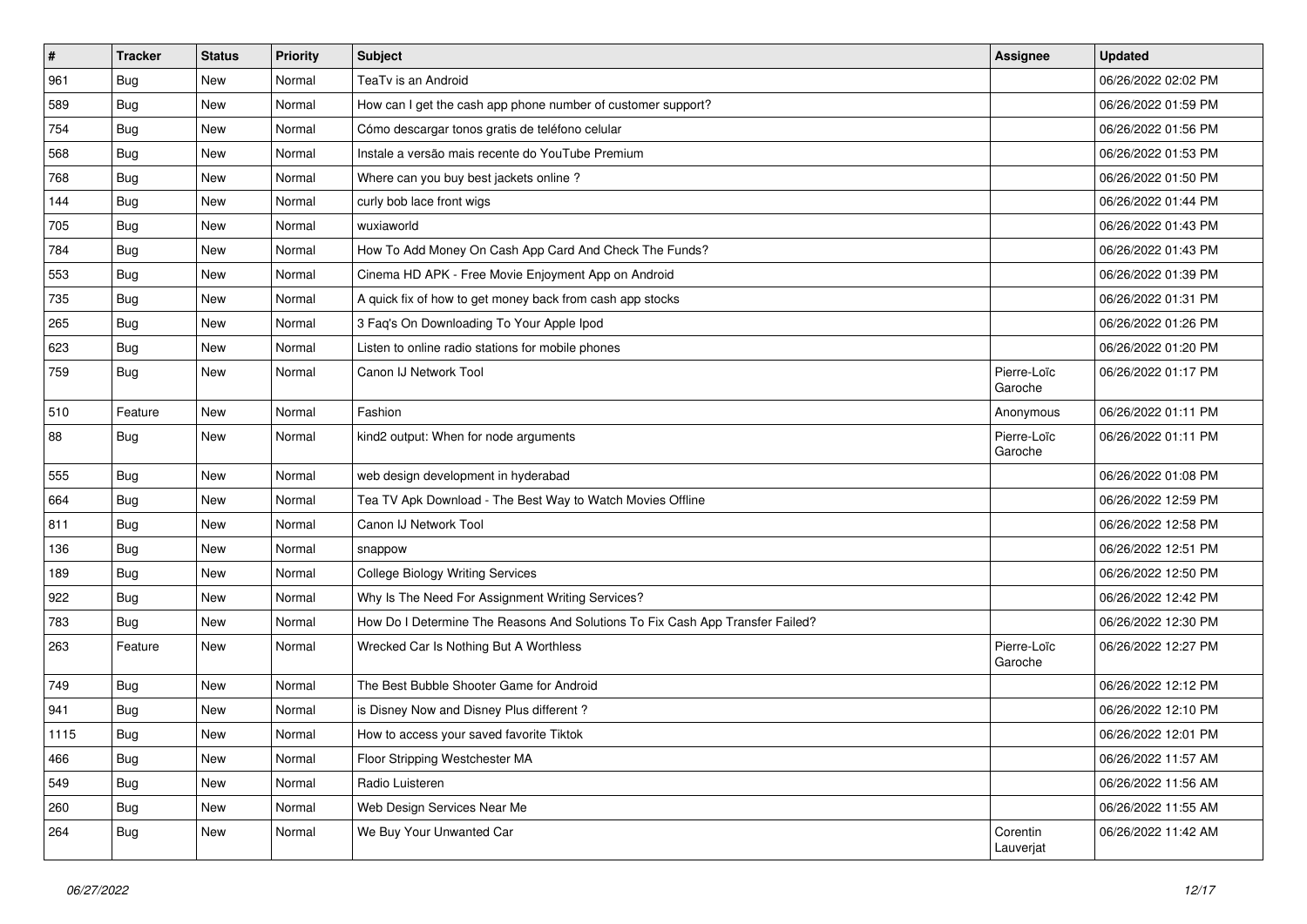| $\vert$ # | <b>Tracker</b> | <b>Status</b> | <b>Priority</b> | Subject                                                                       | <b>Assignee</b>        | <b>Updated</b>      |
|-----------|----------------|---------------|-----------------|-------------------------------------------------------------------------------|------------------------|---------------------|
| 961       | <b>Bug</b>     | New           | Normal          | TeaTv is an Android                                                           |                        | 06/26/2022 02:02 PM |
| 589       | <b>Bug</b>     | New           | Normal          | How can I get the cash app phone number of customer support?                  |                        | 06/26/2022 01:59 PM |
| 754       | <b>Bug</b>     | New           | Normal          | Cómo descargar tonos gratis de teléfono celular                               |                        | 06/26/2022 01:56 PM |
| 568       | <b>Bug</b>     | New           | Normal          | Instale a versão mais recente do YouTube Premium                              |                        | 06/26/2022 01:53 PM |
| 768       | Bug            | New           | Normal          | Where can you buy best jackets online?                                        |                        | 06/26/2022 01:50 PM |
| 144       | <b>Bug</b>     | New           | Normal          | curly bob lace front wigs                                                     |                        | 06/26/2022 01:44 PM |
| 705       | <b>Bug</b>     | New           | Normal          | wuxiaworld                                                                    |                        | 06/26/2022 01:43 PM |
| 784       | <b>Bug</b>     | New           | Normal          | How To Add Money On Cash App Card And Check The Funds?                        |                        | 06/26/2022 01:43 PM |
| 553       | <b>Bug</b>     | New           | Normal          | Cinema HD APK - Free Movie Enjoyment App on Android                           |                        | 06/26/2022 01:39 PM |
| 735       | Bug            | New           | Normal          | A quick fix of how to get money back from cash app stocks                     |                        | 06/26/2022 01:31 PM |
| 265       | <b>Bug</b>     | New           | Normal          | 3 Faq's On Downloading To Your Apple Ipod                                     |                        | 06/26/2022 01:26 PM |
| 623       | <b>Bug</b>     | New           | Normal          | Listen to online radio stations for mobile phones                             |                        | 06/26/2022 01:20 PM |
| 759       | Bug            | New           | Normal          | Canon IJ Network Tool                                                         | Pierre-Loïc<br>Garoche | 06/26/2022 01:17 PM |
| 510       | Feature        | New           | Normal          | Fashion                                                                       | Anonymous              | 06/26/2022 01:11 PM |
| 88        | <b>Bug</b>     | New           | Normal          | kind2 output: When for node arguments                                         | Pierre-Loïc<br>Garoche | 06/26/2022 01:11 PM |
| 555       | <b>Bug</b>     | New           | Normal          | web design development in hyderabad                                           |                        | 06/26/2022 01:08 PM |
| 664       | <b>Bug</b>     | New           | Normal          | Tea TV Apk Download - The Best Way to Watch Movies Offline                    |                        | 06/26/2022 12:59 PM |
| 811       | <b>Bug</b>     | New           | Normal          | Canon IJ Network Tool                                                         |                        | 06/26/2022 12:58 PM |
| 136       | Bug            | New           | Normal          | snappow                                                                       |                        | 06/26/2022 12:51 PM |
| 189       | Bug            | New           | Normal          | <b>College Biology Writing Services</b>                                       |                        | 06/26/2022 12:50 PM |
| 922       | <b>Bug</b>     | New           | Normal          | Why Is The Need For Assignment Writing Services?                              |                        | 06/26/2022 12:42 PM |
| 783       | <b>Bug</b>     | New           | Normal          | How Do I Determine The Reasons And Solutions To Fix Cash App Transfer Failed? |                        | 06/26/2022 12:30 PM |
| 263       | Feature        | New           | Normal          | Wrecked Car Is Nothing But A Worthless                                        | Pierre-Loïc<br>Garoche | 06/26/2022 12:27 PM |
| 749       | Bug            | New           | Normal          | The Best Bubble Shooter Game for Android                                      |                        | 06/26/2022 12:12 PM |
| 941       | <b>Bug</b>     | New           | Normal          | is Disney Now and Disney Plus different?                                      |                        | 06/26/2022 12:10 PM |
| 1115      | Bug            | New           | Normal          | How to access your saved favorite Tiktok                                      |                        | 06/26/2022 12:01 PM |
| 466       | Bug            | New           | Normal          | Floor Stripping Westchester MA                                                |                        | 06/26/2022 11:57 AM |
| 549       | Bug            | New           | Normal          | Radio Luisteren                                                               |                        | 06/26/2022 11:56 AM |
| 260       | <b>Bug</b>     | New           | Normal          | Web Design Services Near Me                                                   |                        | 06/26/2022 11:55 AM |
| 264       | <b>Bug</b>     | New           | Normal          | We Buy Your Unwanted Car                                                      | Corentin<br>Lauverjat  | 06/26/2022 11:42 AM |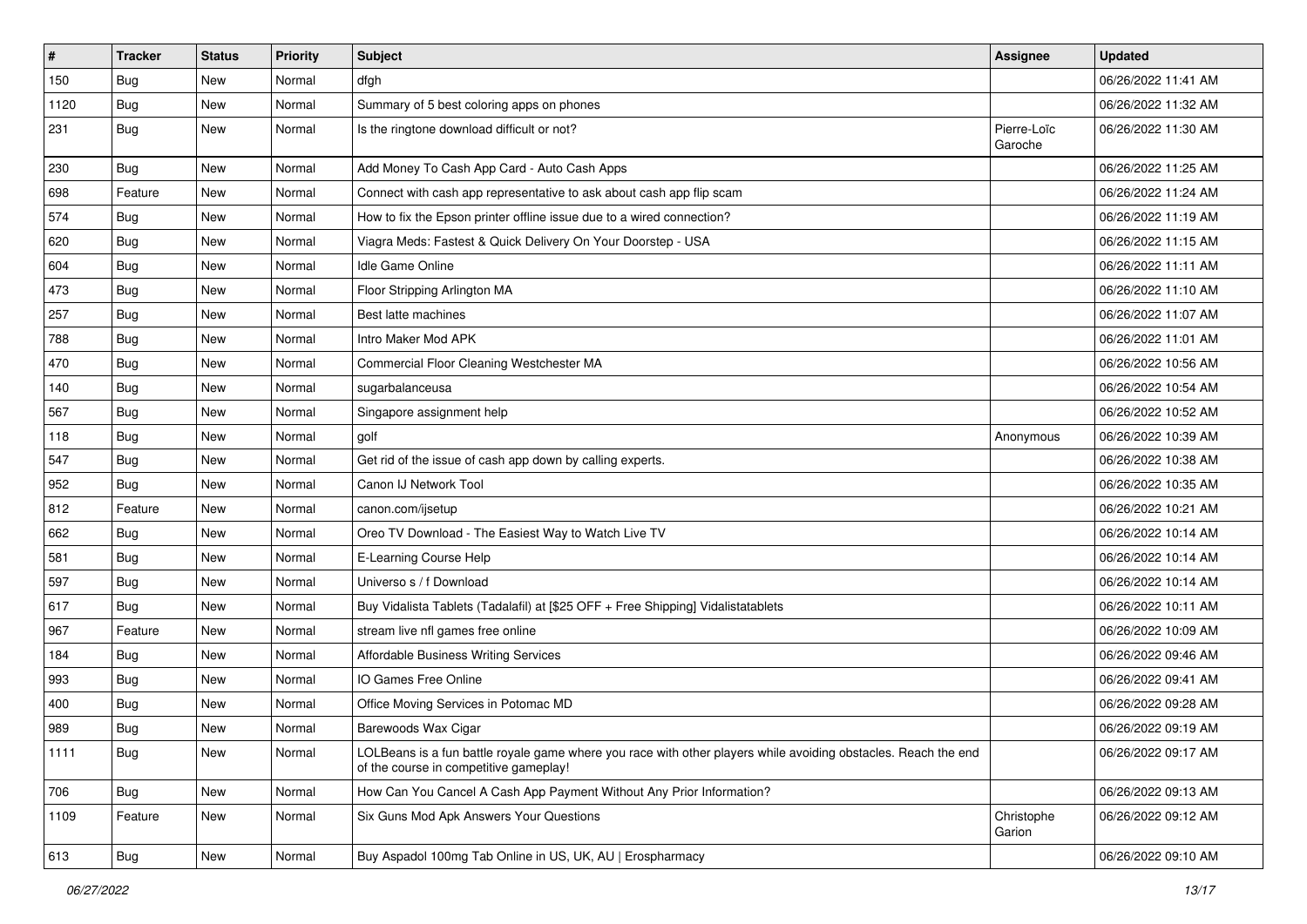| $\vert$ # | <b>Tracker</b> | <b>Status</b> | <b>Priority</b> | Subject                                                                                                                                                  | <b>Assignee</b>        | <b>Updated</b>      |
|-----------|----------------|---------------|-----------------|----------------------------------------------------------------------------------------------------------------------------------------------------------|------------------------|---------------------|
| 150       | <b>Bug</b>     | New           | Normal          | dfgh                                                                                                                                                     |                        | 06/26/2022 11:41 AM |
| 1120      | Bug            | New           | Normal          | Summary of 5 best coloring apps on phones                                                                                                                |                        | 06/26/2022 11:32 AM |
| 231       | Bug            | New           | Normal          | Is the ringtone download difficult or not?                                                                                                               | Pierre-Loïc<br>Garoche | 06/26/2022 11:30 AM |
| 230       | Bug            | New           | Normal          | Add Money To Cash App Card - Auto Cash Apps                                                                                                              |                        | 06/26/2022 11:25 AM |
| 698       | Feature        | New           | Normal          | Connect with cash app representative to ask about cash app flip scam                                                                                     |                        | 06/26/2022 11:24 AM |
| 574       | Bug            | New           | Normal          | How to fix the Epson printer offline issue due to a wired connection?                                                                                    |                        | 06/26/2022 11:19 AM |
| 620       | Bug            | New           | Normal          | Viagra Meds: Fastest & Quick Delivery On Your Doorstep - USA                                                                                             |                        | 06/26/2022 11:15 AM |
| 604       | <b>Bug</b>     | New           | Normal          | Idle Game Online                                                                                                                                         |                        | 06/26/2022 11:11 AM |
| 473       | <b>Bug</b>     | <b>New</b>    | Normal          | Floor Stripping Arlington MA                                                                                                                             |                        | 06/26/2022 11:10 AM |
| 257       | Bug            | New           | Normal          | Best latte machines                                                                                                                                      |                        | 06/26/2022 11:07 AM |
| 788       | <b>Bug</b>     | New           | Normal          | Intro Maker Mod APK                                                                                                                                      |                        | 06/26/2022 11:01 AM |
| 470       | Bug            | New           | Normal          | Commercial Floor Cleaning Westchester MA                                                                                                                 |                        | 06/26/2022 10:56 AM |
| 140       | <b>Bug</b>     | New           | Normal          | sugarbalanceusa                                                                                                                                          |                        | 06/26/2022 10:54 AM |
| 567       | Bug            | New           | Normal          | Singapore assignment help                                                                                                                                |                        | 06/26/2022 10:52 AM |
| 118       | Bug            | New           | Normal          | golf                                                                                                                                                     | Anonymous              | 06/26/2022 10:39 AM |
| 547       | Bug            | New           | Normal          | Get rid of the issue of cash app down by calling experts.                                                                                                |                        | 06/26/2022 10:38 AM |
| 952       | Bug            | New           | Normal          | Canon IJ Network Tool                                                                                                                                    |                        | 06/26/2022 10:35 AM |
| 812       | Feature        | New           | Normal          | canon.com/ijsetup                                                                                                                                        |                        | 06/26/2022 10:21 AM |
| 662       | Bug            | New           | Normal          | Oreo TV Download - The Easiest Way to Watch Live TV                                                                                                      |                        | 06/26/2022 10:14 AM |
| 581       | Bug            | New           | Normal          | E-Learning Course Help                                                                                                                                   |                        | 06/26/2022 10:14 AM |
| 597       | Bug            | New           | Normal          | Universo s / f Download                                                                                                                                  |                        | 06/26/2022 10:14 AM |
| 617       | <b>Bug</b>     | New           | Normal          | Buy Vidalista Tablets (Tadalafil) at [\$25 OFF + Free Shipping] Vidalistatablets                                                                         |                        | 06/26/2022 10:11 AM |
| 967       | Feature        | New           | Normal          | stream live nfl games free online                                                                                                                        |                        | 06/26/2022 10:09 AM |
| 184       | Bug            | New           | Normal          | Affordable Business Writing Services                                                                                                                     |                        | 06/26/2022 09:46 AM |
| 993       | Bug            | New           | Normal          | IO Games Free Online                                                                                                                                     |                        | 06/26/2022 09:41 AM |
| 400       | <b>Bug</b>     | New           | Normal          | Office Moving Services in Potomac MD                                                                                                                     |                        | 06/26/2022 09:28 AM |
| 989       | <b>Bug</b>     | New           | Normal          | Barewoods Wax Cigar                                                                                                                                      |                        | 06/26/2022 09:19 AM |
| 1111      | Bug            | New           | Normal          | LOLBeans is a fun battle royale game where you race with other players while avoiding obstacles. Reach the end<br>of the course in competitive gameplay! |                        | 06/26/2022 09:17 AM |
| 706       | <b>Bug</b>     | New           | Normal          | How Can You Cancel A Cash App Payment Without Any Prior Information?                                                                                     |                        | 06/26/2022 09:13 AM |
| 1109      | Feature        | New           | Normal          | Six Guns Mod Apk Answers Your Questions                                                                                                                  | Christophe<br>Garion   | 06/26/2022 09:12 AM |
| 613       | <b>Bug</b>     | New           | Normal          | Buy Aspadol 100mg Tab Online in US, UK, AU   Erospharmacy                                                                                                |                        | 06/26/2022 09:10 AM |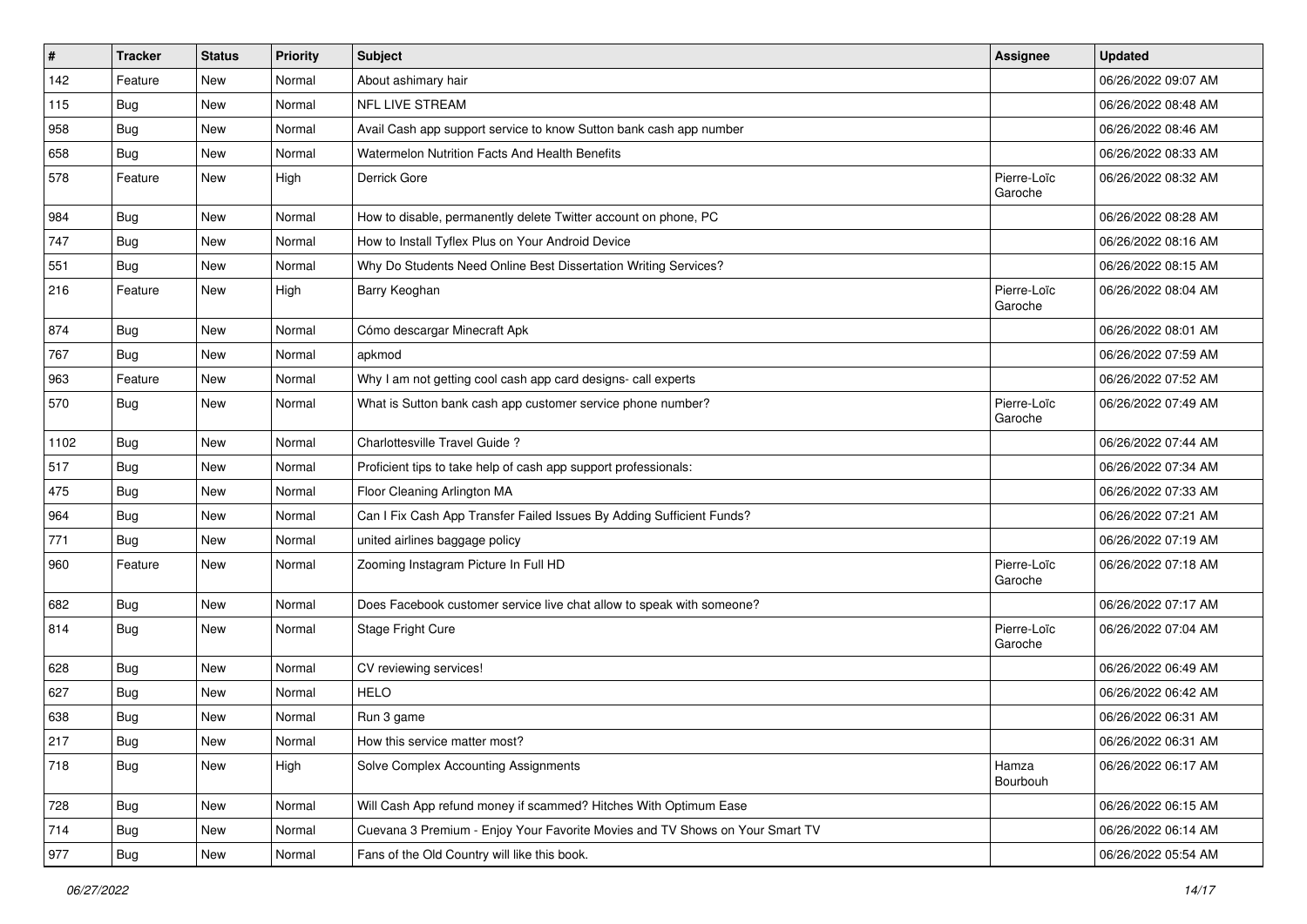| $\pmb{\#}$ | <b>Tracker</b> | <b>Status</b> | <b>Priority</b> | Subject                                                                      | <b>Assignee</b>        | <b>Updated</b>      |
|------------|----------------|---------------|-----------------|------------------------------------------------------------------------------|------------------------|---------------------|
| 142        | Feature        | New           | Normal          | About ashimary hair                                                          |                        | 06/26/2022 09:07 AM |
| 115        | Bug            | <b>New</b>    | Normal          | <b>NFL LIVE STREAM</b>                                                       |                        | 06/26/2022 08:48 AM |
| 958        | <b>Bug</b>     | New           | Normal          | Avail Cash app support service to know Sutton bank cash app number           |                        | 06/26/2022 08:46 AM |
| 658        | Bug            | New           | Normal          | Watermelon Nutrition Facts And Health Benefits                               |                        | 06/26/2022 08:33 AM |
| 578        | Feature        | New           | High            | Derrick Gore                                                                 | Pierre-Loïc<br>Garoche | 06/26/2022 08:32 AM |
| 984        | <b>Bug</b>     | New           | Normal          | How to disable, permanently delete Twitter account on phone, PC              |                        | 06/26/2022 08:28 AM |
| 747        | Bug            | New           | Normal          | How to Install Tyflex Plus on Your Android Device                            |                        | 06/26/2022 08:16 AM |
| 551        | <b>Bug</b>     | New           | Normal          | Why Do Students Need Online Best Dissertation Writing Services?              |                        | 06/26/2022 08:15 AM |
| 216        | Feature        | New           | High            | Barry Keoghan                                                                | Pierre-Loïc<br>Garoche | 06/26/2022 08:04 AM |
| 874        | Bug            | New           | Normal          | Cómo descargar Minecraft Apk                                                 |                        | 06/26/2022 08:01 AM |
| 767        | Bug            | New           | Normal          | apkmod                                                                       |                        | 06/26/2022 07:59 AM |
| 963        | Feature        | New           | Normal          | Why I am not getting cool cash app card designs- call experts                |                        | 06/26/2022 07:52 AM |
| 570        | <b>Bug</b>     | New           | Normal          | What is Sutton bank cash app customer service phone number?                  | Pierre-Loïc<br>Garoche | 06/26/2022 07:49 AM |
| 1102       | <b>Bug</b>     | New           | Normal          | Charlottesville Travel Guide?                                                |                        | 06/26/2022 07:44 AM |
| 517        | Bug            | New           | Normal          | Proficient tips to take help of cash app support professionals:              |                        | 06/26/2022 07:34 AM |
| 475        | <b>Bug</b>     | New           | Normal          | Floor Cleaning Arlington MA                                                  |                        | 06/26/2022 07:33 AM |
| 964        | Bug            | New           | Normal          | Can I Fix Cash App Transfer Failed Issues By Adding Sufficient Funds?        |                        | 06/26/2022 07:21 AM |
| 771        | <b>Bug</b>     | New           | Normal          | united airlines baggage policy                                               |                        | 06/26/2022 07:19 AM |
| 960        | Feature        | New           | Normal          | Zooming Instagram Picture In Full HD                                         | Pierre-Loïc<br>Garoche | 06/26/2022 07:18 AM |
| 682        | Bug            | New           | Normal          | Does Facebook customer service live chat allow to speak with someone?        |                        | 06/26/2022 07:17 AM |
| 814        | <b>Bug</b>     | New           | Normal          | Stage Fright Cure                                                            | Pierre-Loïc<br>Garoche | 06/26/2022 07:04 AM |
| 628        | Bug            | New           | Normal          | CV reviewing services!                                                       |                        | 06/26/2022 06:49 AM |
| 627        | <b>Bug</b>     | New           | Normal          | <b>HELO</b>                                                                  |                        | 06/26/2022 06:42 AM |
| 638        | <b>Bug</b>     | New           | Normal          | Run 3 game                                                                   |                        | 06/26/2022 06:31 AM |
| 217        | Bug            | New           | Normal          | How this service matter most?                                                |                        | 06/26/2022 06:31 AM |
| 718        | Bug            | New           | High            | Solve Complex Accounting Assignments                                         | Hamza<br>Bourbouh      | 06/26/2022 06:17 AM |
| 728        | Bug            | New           | Normal          | Will Cash App refund money if scammed? Hitches With Optimum Ease             |                        | 06/26/2022 06:15 AM |
| 714        | Bug            | New           | Normal          | Cuevana 3 Premium - Enjoy Your Favorite Movies and TV Shows on Your Smart TV |                        | 06/26/2022 06:14 AM |
| 977        | <b>Bug</b>     | New           | Normal          | Fans of the Old Country will like this book.                                 |                        | 06/26/2022 05:54 AM |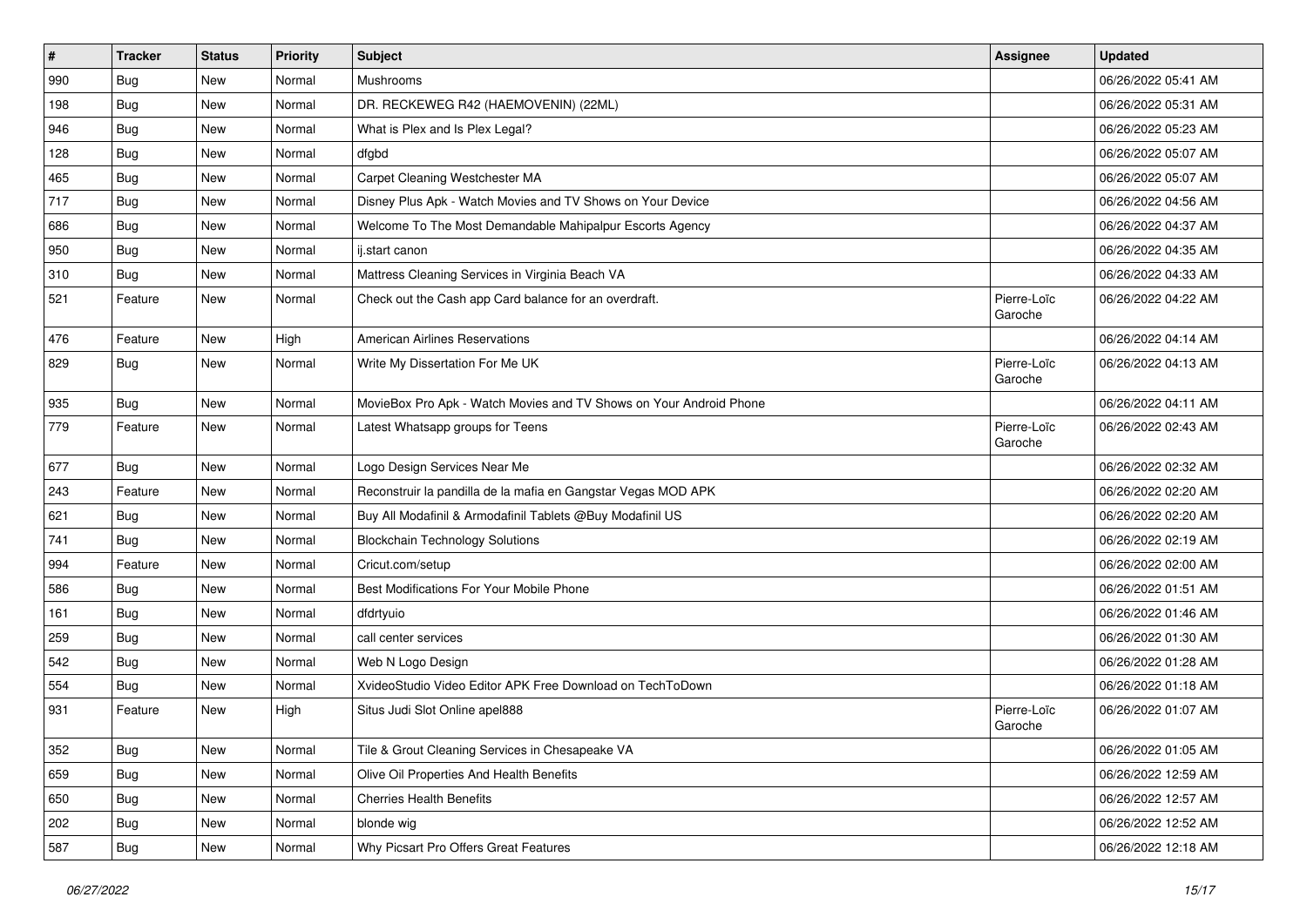| $\vert$ # | <b>Tracker</b> | <b>Status</b> | <b>Priority</b> | Subject                                                            | <b>Assignee</b>        | <b>Updated</b>      |
|-----------|----------------|---------------|-----------------|--------------------------------------------------------------------|------------------------|---------------------|
| 990       | Bug            | New           | Normal          | Mushrooms                                                          |                        | 06/26/2022 05:41 AM |
| 198       | Bug            | <b>New</b>    | Normal          | DR. RECKEWEG R42 (HAEMOVENIN) (22ML)                               |                        | 06/26/2022 05:31 AM |
| 946       | Bug            | New           | Normal          | What is Plex and Is Plex Legal?                                    |                        | 06/26/2022 05:23 AM |
| 128       | Bug            | New           | Normal          | dfgbd                                                              |                        | 06/26/2022 05:07 AM |
| 465       | Bug            | New           | Normal          | Carpet Cleaning Westchester MA                                     |                        | 06/26/2022 05:07 AM |
| 717       | <b>Bug</b>     | New           | Normal          | Disney Plus Apk - Watch Movies and TV Shows on Your Device         |                        | 06/26/2022 04:56 AM |
| 686       | <b>Bug</b>     | New           | Normal          | Welcome To The Most Demandable Mahipalpur Escorts Agency           |                        | 06/26/2022 04:37 AM |
| 950       | <b>Bug</b>     | New           | Normal          | ij.start canon                                                     |                        | 06/26/2022 04:35 AM |
| 310       | Bug            | <b>New</b>    | Normal          | Mattress Cleaning Services in Virginia Beach VA                    |                        | 06/26/2022 04:33 AM |
| 521       | Feature        | New           | Normal          | Check out the Cash app Card balance for an overdraft.              | Pierre-Loïc<br>Garoche | 06/26/2022 04:22 AM |
| 476       | Feature        | New           | High            | <b>American Airlines Reservations</b>                              |                        | 06/26/2022 04:14 AM |
| 829       | Bug            | New           | Normal          | Write My Dissertation For Me UK                                    | Pierre-Loïc<br>Garoche | 06/26/2022 04:13 AM |
| 935       | <b>Bug</b>     | New           | Normal          | MovieBox Pro Apk - Watch Movies and TV Shows on Your Android Phone |                        | 06/26/2022 04:11 AM |
| 779       | Feature        | New           | Normal          | Latest Whatsapp groups for Teens                                   | Pierre-Loïc<br>Garoche | 06/26/2022 02:43 AM |
| 677       | Bug            | New           | Normal          | Logo Design Services Near Me                                       |                        | 06/26/2022 02:32 AM |
| 243       | Feature        | New           | Normal          | Reconstruir la pandilla de la mafia en Gangstar Vegas MOD APK      |                        | 06/26/2022 02:20 AM |
| 621       | Bug            | New           | Normal          | Buy All Modafinil & Armodafinil Tablets @Buy Modafinil US          |                        | 06/26/2022 02:20 AM |
| 741       | Bug            | New           | Normal          | <b>Blockchain Technology Solutions</b>                             |                        | 06/26/2022 02:19 AM |
| 994       | Feature        | New           | Normal          | Cricut.com/setup                                                   |                        | 06/26/2022 02:00 AM |
| 586       | Bug            | New           | Normal          | Best Modifications For Your Mobile Phone                           |                        | 06/26/2022 01:51 AM |
| 161       | Bug            | New           | Normal          | dfdrtyuio                                                          |                        | 06/26/2022 01:46 AM |
| 259       | <b>Bug</b>     | New           | Normal          | call center services                                               |                        | 06/26/2022 01:30 AM |
| 542       | Bug            | New           | Normal          | Web N Logo Design                                                  |                        | 06/26/2022 01:28 AM |
| 554       | <b>Bug</b>     | New           | Normal          | XvideoStudio Video Editor APK Free Download on TechToDown          |                        | 06/26/2022 01:18 AM |
| 931       | Feature        | New           | High            | Situs Judi Slot Online apel888                                     | Pierre-Loïc<br>Garoche | 06/26/2022 01:07 AM |
| 352       | Bug            | New           | Normal          | Tile & Grout Cleaning Services in Chesapeake VA                    |                        | 06/26/2022 01:05 AM |
| 659       | <b>Bug</b>     | New           | Normal          | Olive Oil Properties And Health Benefits                           |                        | 06/26/2022 12:59 AM |
| 650       | <b>Bug</b>     | New           | Normal          | <b>Cherries Health Benefits</b>                                    |                        | 06/26/2022 12:57 AM |
| 202       | <b>Bug</b>     | New           | Normal          | blonde wig                                                         |                        | 06/26/2022 12:52 AM |
| 587       | Bug            | New           | Normal          | Why Picsart Pro Offers Great Features                              |                        | 06/26/2022 12:18 AM |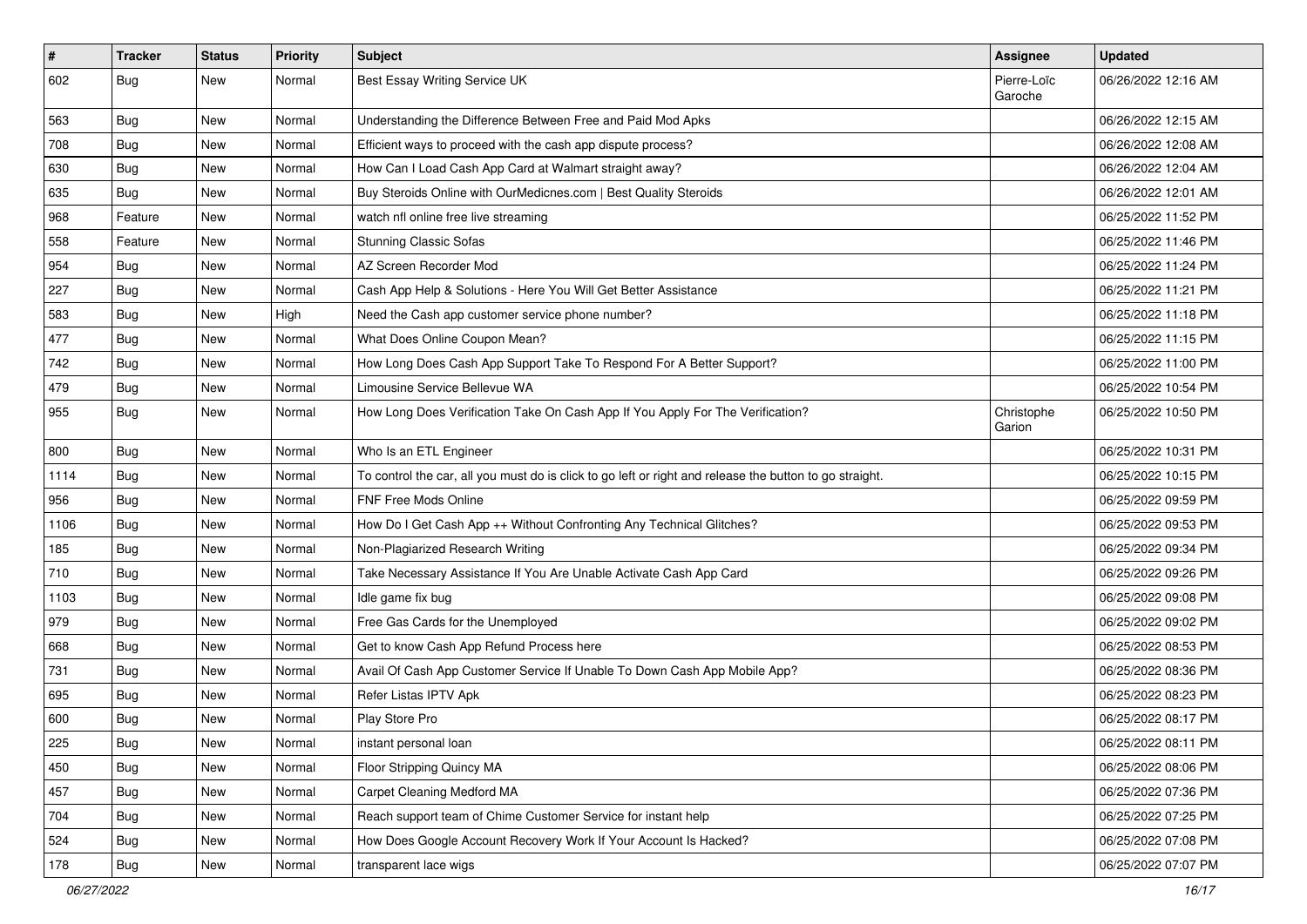| $\sharp$ | <b>Tracker</b> | <b>Status</b> | <b>Priority</b> | Subject                                                                                                 | Assignee               | <b>Updated</b>      |
|----------|----------------|---------------|-----------------|---------------------------------------------------------------------------------------------------------|------------------------|---------------------|
| 602      | <b>Bug</b>     | New           | Normal          | Best Essay Writing Service UK                                                                           | Pierre-Loïc<br>Garoche | 06/26/2022 12:16 AM |
| 563      | <b>Bug</b>     | New           | Normal          | Understanding the Difference Between Free and Paid Mod Apks                                             |                        | 06/26/2022 12:15 AM |
| 708      | <b>Bug</b>     | New           | Normal          | Efficient ways to proceed with the cash app dispute process?                                            |                        | 06/26/2022 12:08 AM |
| 630      | Bug            | New           | Normal          | How Can I Load Cash App Card at Walmart straight away?                                                  |                        | 06/26/2022 12:04 AM |
| 635      | <b>Bug</b>     | New           | Normal          | Buy Steroids Online with OurMedicnes.com   Best Quality Steroids                                        |                        | 06/26/2022 12:01 AM |
| 968      | Feature        | New           | Normal          | watch nfl online free live streaming                                                                    |                        | 06/25/2022 11:52 PM |
| 558      | Feature        | New           | Normal          | <b>Stunning Classic Sofas</b>                                                                           |                        | 06/25/2022 11:46 PM |
| 954      | <b>Bug</b>     | New           | Normal          | AZ Screen Recorder Mod                                                                                  |                        | 06/25/2022 11:24 PM |
| 227      | Bug            | New           | Normal          | Cash App Help & Solutions - Here You Will Get Better Assistance                                         |                        | 06/25/2022 11:21 PM |
| 583      | <b>Bug</b>     | New           | High            | Need the Cash app customer service phone number?                                                        |                        | 06/25/2022 11:18 PM |
| 477      | Bug            | New           | Normal          | What Does Online Coupon Mean?                                                                           |                        | 06/25/2022 11:15 PM |
| 742      | <b>Bug</b>     | New           | Normal          | How Long Does Cash App Support Take To Respond For A Better Support?                                    |                        | 06/25/2022 11:00 PM |
| 479      | <b>Bug</b>     | New           | Normal          | Limousine Service Bellevue WA                                                                           |                        | 06/25/2022 10:54 PM |
| 955      | <b>Bug</b>     | New           | Normal          | How Long Does Verification Take On Cash App If You Apply For The Verification?                          | Christophe<br>Garion   | 06/25/2022 10:50 PM |
| 800      | <b>Bug</b>     | New           | Normal          | Who Is an ETL Engineer                                                                                  |                        | 06/25/2022 10:31 PM |
| 1114     | Bug            | New           | Normal          | To control the car, all you must do is click to go left or right and release the button to go straight. |                        | 06/25/2022 10:15 PM |
| 956      | <b>Bug</b>     | New           | Normal          | <b>FNF Free Mods Online</b>                                                                             |                        | 06/25/2022 09:59 PM |
| 1106     | Bug            | New           | Normal          | How Do I Get Cash App ++ Without Confronting Any Technical Glitches?                                    |                        | 06/25/2022 09:53 PM |
| 185      | <b>Bug</b>     | New           | Normal          | Non-Plagiarized Research Writing                                                                        |                        | 06/25/2022 09:34 PM |
| 710      | Bug            | New           | Normal          | Take Necessary Assistance If You Are Unable Activate Cash App Card                                      |                        | 06/25/2022 09:26 PM |
| 1103     | Bug            | <b>New</b>    | Normal          | Idle game fix bug                                                                                       |                        | 06/25/2022 09:08 PM |
| 979      | <b>Bug</b>     | New           | Normal          | Free Gas Cards for the Unemployed                                                                       |                        | 06/25/2022 09:02 PM |
| 668      | <b>Bug</b>     | New           | Normal          | Get to know Cash App Refund Process here                                                                |                        | 06/25/2022 08:53 PM |
| 731      | Bug            | New           | Normal          | Avail Of Cash App Customer Service If Unable To Down Cash App Mobile App?                               |                        | 06/25/2022 08:36 PM |
| 695      | <b>Bug</b>     | New           | Normal          | Refer Listas IPTV Apk                                                                                   |                        | 06/25/2022 08:23 PM |
| 600      | <b>Bug</b>     | New           | Normal          | Play Store Pro                                                                                          |                        | 06/25/2022 08:17 PM |
| 225      | Bug            | New           | Normal          | instant personal loan                                                                                   |                        | 06/25/2022 08:11 PM |
| 450      | <b>Bug</b>     | New           | Normal          | Floor Stripping Quincy MA                                                                               |                        | 06/25/2022 08:06 PM |
| 457      | Bug            | New           | Normal          | <b>Carpet Cleaning Medford MA</b>                                                                       |                        | 06/25/2022 07:36 PM |
| 704      | <b>Bug</b>     | New           | Normal          | Reach support team of Chime Customer Service for instant help                                           |                        | 06/25/2022 07:25 PM |
| 524      | <b>Bug</b>     | New           | Normal          | How Does Google Account Recovery Work If Your Account Is Hacked?                                        |                        | 06/25/2022 07:08 PM |
| 178      | <b>Bug</b>     | New           | Normal          | transparent lace wigs                                                                                   |                        | 06/25/2022 07:07 PM |